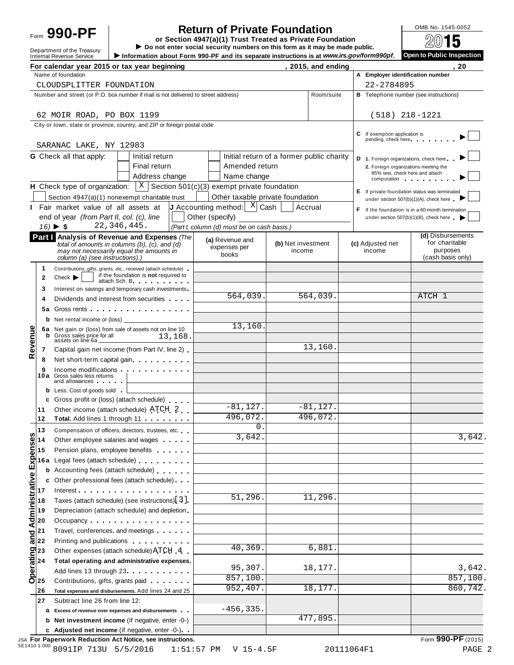# **Return of Private Foundation**<br> **etion 4947(a)(1) Trust Treated as Private Foundation**<br> **eta expanding** Form **990-PF or Section 4947(a)(1) Trust Treated as Private Foundation**

**Department of the Treasury** I **Do** not enter social security numbers on this form as it may be made public.<br>Internal Revenue Service I information about Form 990-PF and its separate instructions is at www.irs.gov/form990 Information about Form 990-PF and its separate instructions is at www.irs.gov/form990pf.

|                                                                              | $\sim$ mormanon about I omn boo I I and no separate mondetons is at minimally entermology.                                                                                                                                                                     |                                                                    |                                           |                    |                                                                                | 20                                                                                            |  |  |
|------------------------------------------------------------------------------|----------------------------------------------------------------------------------------------------------------------------------------------------------------------------------------------------------------------------------------------------------------|--------------------------------------------------------------------|-------------------------------------------|--------------------|--------------------------------------------------------------------------------|-----------------------------------------------------------------------------------------------|--|--|
|                                                                              | For calendar year 2015 or tax year beginning<br>Name of foundation                                                                                                                                                                                             |                                                                    |                                           | , 2015, and ending | A Employer identification number                                               |                                                                                               |  |  |
|                                                                              | CLOUDSPLITTER FOUNDATION                                                                                                                                                                                                                                       |                                                                    |                                           |                    | 22-2784895                                                                     |                                                                                               |  |  |
|                                                                              | Number and street (or P.O. box number if mail is not delivered to street address)                                                                                                                                                                              |                                                                    |                                           | Room/suite         |                                                                                |                                                                                               |  |  |
|                                                                              |                                                                                                                                                                                                                                                                |                                                                    |                                           |                    | <b>B</b> Telephone number (see instructions)                                   |                                                                                               |  |  |
|                                                                              | 62 MOIR ROAD, PO BOX 1199                                                                                                                                                                                                                                      |                                                                    |                                           |                    | $(518)$ 218-1221                                                               |                                                                                               |  |  |
|                                                                              | City or town, state or province, country, and ZIP or foreign postal code                                                                                                                                                                                       |                                                                    |                                           |                    |                                                                                |                                                                                               |  |  |
|                                                                              | SARANAC LAKE, NY 12983                                                                                                                                                                                                                                         |                                                                    |                                           |                    | C If exemption application is<br>pending, check here                           |                                                                                               |  |  |
|                                                                              | G Check all that apply:<br>Initial return                                                                                                                                                                                                                      |                                                                    | Initial return of a former public charity |                    |                                                                                |                                                                                               |  |  |
|                                                                              | Final return                                                                                                                                                                                                                                                   | Amended return                                                     |                                           |                    | D 1. Foreign organizations, check here<br>2. Foreign organizations meeting the |                                                                                               |  |  |
|                                                                              | Address change                                                                                                                                                                                                                                                 | Name change                                                        |                                           |                    | 85% test, check here and attach                                                |                                                                                               |  |  |
|                                                                              | <b>H</b> Check type of organization: $X \mid X$ Section 501(c)(3) exempt private foundation                                                                                                                                                                    |                                                                    |                                           |                    |                                                                                | computation and the computation                                                               |  |  |
|                                                                              | Section 4947(a)(1) nonexempt charitable trust                                                                                                                                                                                                                  |                                                                    | Other taxable private foundation          |                    |                                                                                | E If private foundation status was terminated                                                 |  |  |
|                                                                              | Fair market value of all assets at                                                                                                                                                                                                                             | <b>J</b> Accounting method: $\begin{bmatrix} X \end{bmatrix}$ Cash | Accrual                                   |                    |                                                                                | under section 507(b)(1)(A), check here                                                        |  |  |
|                                                                              | end of year (from Part II, col. (c), line                                                                                                                                                                                                                      | Other (specify)                                                    |                                           |                    |                                                                                | F If the foundation is in a 60-month termination<br>under section $507(b)(1)(B)$ , check here |  |  |
|                                                                              | 22, 346, 445.<br>$16)$ $\triangleright$ \$                                                                                                                                                                                                                     | (Part I, column (d) must be on cash basis.)                        |                                           |                    |                                                                                |                                                                                               |  |  |
|                                                                              | Part I Analysis of Revenue and Expenses (The                                                                                                                                                                                                                   |                                                                    |                                           |                    |                                                                                | (d) Disbursements                                                                             |  |  |
|                                                                              | total of amounts in columns (b), $(c)$ , and $(d)$                                                                                                                                                                                                             | (a) Revenue and<br>expenses per                                    | (b) Net investment                        |                    | (c) Adjusted net                                                               | for charitable                                                                                |  |  |
|                                                                              | may not necessarily equal the amounts in<br>column (a) (see instructions).)                                                                                                                                                                                    | books                                                              | income                                    |                    | income                                                                         | purposes<br>(cash basis only)                                                                 |  |  |
| 1                                                                            | Contributions, gifts, grants, etc., received (attach schedule)                                                                                                                                                                                                 |                                                                    |                                           |                    |                                                                                |                                                                                               |  |  |
| 2                                                                            | if the foundation is not required to<br>Check                                                                                                                                                                                                                  |                                                                    |                                           |                    |                                                                                |                                                                                               |  |  |
| 3                                                                            | attach Sch. B.<br>Interest on savings and temporary cash investments                                                                                                                                                                                           |                                                                    |                                           |                    |                                                                                |                                                                                               |  |  |
| 4                                                                            | Dividends and interest from securities                                                                                                                                                                                                                         | 564,039.                                                           |                                           | 564,039.           |                                                                                | ATCH 1                                                                                        |  |  |
| 5a                                                                           | Gross rents <b>contract and contract and contract and contract and contract and contract and contract and contract and contract and contract and contract and contract and contract and contract and contract and contract and c</b>                           |                                                                    |                                           |                    |                                                                                |                                                                                               |  |  |
| b                                                                            | Net rental income or (loss)                                                                                                                                                                                                                                    |                                                                    |                                           |                    |                                                                                |                                                                                               |  |  |
|                                                                              | 6a Net gain or (loss) from sale of assets not on line 10                                                                                                                                                                                                       | 13,160.                                                            |                                           |                    |                                                                                |                                                                                               |  |  |
| b                                                                            | Gross sales price for all<br>13,168.<br>assets on line 6a.                                                                                                                                                                                                     |                                                                    |                                           |                    |                                                                                |                                                                                               |  |  |
| Revenue<br>7                                                                 | Capital gain net income (from Part IV, line 2)                                                                                                                                                                                                                 |                                                                    |                                           | 13,160.            |                                                                                |                                                                                               |  |  |
| 8                                                                            | Net short-term capital gain                                                                                                                                                                                                                                    |                                                                    |                                           |                    |                                                                                |                                                                                               |  |  |
| 9                                                                            | Income modifications                                                                                                                                                                                                                                           |                                                                    |                                           |                    |                                                                                |                                                                                               |  |  |
|                                                                              | 10a Gross sales less returns<br>and allowances and the state of the state of the state of the state of the state of the state of the state of the state of the state of the state of the state of the state of the state of the state of the state of the stat |                                                                    |                                           |                    |                                                                                |                                                                                               |  |  |
|                                                                              | <b>b</b> Less: Cost of goods sold                                                                                                                                                                                                                              |                                                                    |                                           |                    |                                                                                |                                                                                               |  |  |
| c                                                                            | Gross profit or (loss) (attach schedule)                                                                                                                                                                                                                       |                                                                    |                                           |                    |                                                                                |                                                                                               |  |  |
| 11                                                                           | Other income (attach schedule) ATCH 2                                                                                                                                                                                                                          | $-81,127.$                                                         |                                           | $-81, 127.$        |                                                                                |                                                                                               |  |  |
| 12                                                                           | Total. Add lines 1 through 11                                                                                                                                                                                                                                  | 496,072.                                                           |                                           | 496,072.           |                                                                                |                                                                                               |  |  |
| 13                                                                           | Compensation of officers, directors, trustees, etc.                                                                                                                                                                                                            | $\mathbf{0}$ .                                                     |                                           |                    |                                                                                |                                                                                               |  |  |
| Administrative Expenses<br>$\frac{1}{2}$ and $\frac{1}{2}$ and $\frac{1}{2}$ | Other employee salaries and wages                                                                                                                                                                                                                              | 3,642.                                                             |                                           |                    |                                                                                | 3,642.                                                                                        |  |  |
|                                                                              | Pension plans, employee benefits                                                                                                                                                                                                                               |                                                                    |                                           |                    |                                                                                |                                                                                               |  |  |
| 16 a                                                                         | Legal fees (attach schedule)                                                                                                                                                                                                                                   |                                                                    |                                           |                    |                                                                                |                                                                                               |  |  |
| b                                                                            | Accounting fees (attach schedule)                                                                                                                                                                                                                              |                                                                    |                                           |                    |                                                                                |                                                                                               |  |  |
| c                                                                            | Other professional fees (attach schedule)                                                                                                                                                                                                                      |                                                                    |                                           |                    |                                                                                |                                                                                               |  |  |
|                                                                              | Interest                                                                                                                                                                                                                                                       | 51,296.                                                            |                                           | 11,296.            |                                                                                |                                                                                               |  |  |
|                                                                              | Taxes (attach schedule) (see instructions) 3.                                                                                                                                                                                                                  |                                                                    |                                           |                    |                                                                                |                                                                                               |  |  |
|                                                                              | Depreciation (attach schedule) and depletion                                                                                                                                                                                                                   |                                                                    |                                           |                    |                                                                                |                                                                                               |  |  |
|                                                                              | Occupancy                                                                                                                                                                                                                                                      |                                                                    |                                           |                    |                                                                                |                                                                                               |  |  |
| $\frac{1}{\overline{\sigma}}\Big _{22}^{21}$                                 | Travel, conferences, and meetings                                                                                                                                                                                                                              |                                                                    |                                           |                    |                                                                                |                                                                                               |  |  |
|                                                                              | Printing and publications <b>Community</b> Printing and publications                                                                                                                                                                                           | 40, 369.                                                           |                                           | 6,881.             |                                                                                |                                                                                               |  |  |
| perating<br>a<br>a<br>c                                                      | Other expenses (attach schedule) ATCH 4                                                                                                                                                                                                                        |                                                                    |                                           |                    |                                                                                |                                                                                               |  |  |
|                                                                              | Total operating and administrative expenses.<br>Add lines 13 through 23                                                                                                                                                                                        | 95,307.                                                            |                                           | 18,177.            |                                                                                | 3,642.                                                                                        |  |  |
|                                                                              | Contributions, gifts, grants paid                                                                                                                                                                                                                              | 857,100.                                                           |                                           |                    |                                                                                | 857,100.                                                                                      |  |  |
| O 25<br> 26                                                                  | Total expenses and disbursements. Add lines 24 and 25                                                                                                                                                                                                          | 952,407.                                                           |                                           | 18,177.            |                                                                                | 860,742.                                                                                      |  |  |
| 27                                                                           | Subtract line 26 from line 12:                                                                                                                                                                                                                                 |                                                                    |                                           |                    |                                                                                |                                                                                               |  |  |
| а                                                                            | Excess of revenue over expenses and disbursements                                                                                                                                                                                                              | $-456, 335.$                                                       |                                           |                    |                                                                                |                                                                                               |  |  |
| b                                                                            | Net investment income (if negative, enter -0-)                                                                                                                                                                                                                 |                                                                    |                                           | 477,895.           |                                                                                |                                                                                               |  |  |
|                                                                              | c Adjusted net income (if negative, enter -0-)                                                                                                                                                                                                                 |                                                                    |                                           |                    |                                                                                |                                                                                               |  |  |
|                                                                              |                                                                                                                                                                                                                                                                |                                                                    |                                           |                    |                                                                                |                                                                                               |  |  |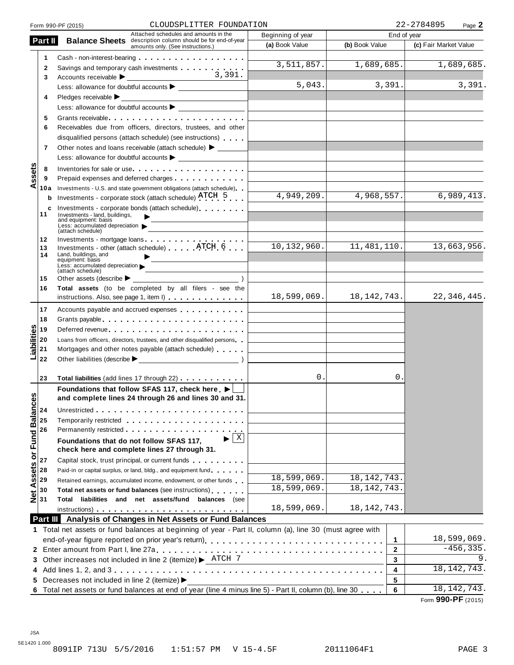|                                                                                             | CLOUDSPLITTER FOUNDATION<br>Form 990-PF (2015)                                                                 |                         | 22-2784895<br>Page 2        |                       |  |  |
|---------------------------------------------------------------------------------------------|----------------------------------------------------------------------------------------------------------------|-------------------------|-----------------------------|-----------------------|--|--|
| Part II                                                                                     | Attached schedules and amounts in the                                                                          | Beginning of year       | End of year                 |                       |  |  |
|                                                                                             | <b>Balance Sheets</b> description column should be for end-of-year<br>amounts only. (See instructions.)        | (a) Book Value          | (b) Book Value              | (c) Fair Market Value |  |  |
| 1                                                                                           |                                                                                                                |                         |                             |                       |  |  |
| $\mathbf{2}$                                                                                | Savings and temporary cash investments                                                                         | $\overline{3,511,857}.$ | 1,689,685.                  | 1,689,685.            |  |  |
| 3                                                                                           | 3,391.                                                                                                         |                         |                             |                       |  |  |
|                                                                                             |                                                                                                                | 5,043.                  | 3,391.                      | 3,391.                |  |  |
| 4                                                                                           | Pledges receivable $\blacktriangleright$                                                                       |                         |                             |                       |  |  |
|                                                                                             |                                                                                                                |                         |                             |                       |  |  |
| 5                                                                                           |                                                                                                                |                         |                             |                       |  |  |
| 6                                                                                           | Receivables due from officers, directors, trustees, and other                                                  |                         |                             |                       |  |  |
|                                                                                             |                                                                                                                |                         |                             |                       |  |  |
|                                                                                             | disqualified persons (attach schedule) (see instructions)                                                      |                         |                             |                       |  |  |
| 7                                                                                           | Other notes and loans receivable (attach schedule) > _______                                                   |                         |                             |                       |  |  |
|                                                                                             |                                                                                                                |                         |                             |                       |  |  |
| ssets<br>8                                                                                  | Inventories for sale or use                                                                                    |                         |                             |                       |  |  |
| 9                                                                                           | Prepaid expenses and deferred charges <b>Expenses Expenses</b>                                                 |                         |                             |                       |  |  |
| ⋖<br>10a                                                                                    | Investments - U.S. and state government obligations (attach schedule)                                          |                         |                             |                       |  |  |
| b                                                                                           | Investments - corporate stock (attach schedule) ATCH 5                                                         | 4,949,209.              | 4,968,557.                  | 6,989,413.            |  |  |
| c<br>11                                                                                     | Investments - corporate bonds (attach schedule)                                                                |                         |                             |                       |  |  |
|                                                                                             | Investments - land, buildings,<br>and equipment: basis                                                         |                         |                             |                       |  |  |
|                                                                                             | Less: accumulated depreciation $\blacktriangleright$<br>(attach schedule)                                      |                         |                             |                       |  |  |
| 12                                                                                          | Investments - mortgage loans                                                                                   |                         |                             |                       |  |  |
| 13                                                                                          | Investments - other (attach schedule) ATCH 6                                                                   | 10, 132, 960.           | 11, 481, 110.               | 13,663,956.           |  |  |
| 14                                                                                          | Land, buildings, and<br>equipment: basis                                                                       |                         |                             |                       |  |  |
|                                                                                             | Less: accumulated depreciation<br>(attach schedule)                                                            |                         |                             |                       |  |  |
| 15                                                                                          | Other assets (describe $\blacktriangleright$                                                                   |                         |                             |                       |  |  |
| 16                                                                                          | Total assets (to be completed by all filers - see the                                                          |                         |                             |                       |  |  |
|                                                                                             | instructions. Also, see page 1, item I)                                                                        |                         | $18,599,069.$ $18,142,743.$ | 22,346,445.           |  |  |
| 17                                                                                          | Accounts payable and accrued expenses                                                                          |                         |                             |                       |  |  |
|                                                                                             |                                                                                                                |                         |                             |                       |  |  |
| 18                                                                                          | Grants payable entering the service of the service of the service of the service of the service of the service |                         |                             |                       |  |  |
| iabilities<br>19                                                                            | Deferred revenue                                                                                               |                         |                             |                       |  |  |
| 20                                                                                          | Loans from officers, directors, trustees, and other disqualified persons                                       |                         |                             |                       |  |  |
| 21                                                                                          | Mortgages and other notes payable (attach schedule)                                                            |                         |                             |                       |  |  |
| 22                                                                                          |                                                                                                                |                         |                             |                       |  |  |
|                                                                                             |                                                                                                                |                         |                             |                       |  |  |
| 23                                                                                          | Total liabilities (add lines 17 through 22)                                                                    | 0.                      | 0.                          |                       |  |  |
| w                                                                                           | Foundations that follow SFAS 117, check here $\blacktriangleright$                                             |                         |                             |                       |  |  |
|                                                                                             | and complete lines 24 through 26 and lines 30 and 31                                                           |                         |                             |                       |  |  |
|                                                                                             |                                                                                                                |                         |                             |                       |  |  |
|                                                                                             | Temporarily restricted entering the state of the state of the state of the state of the state of the state of  |                         |                             |                       |  |  |
|                                                                                             |                                                                                                                |                         |                             |                       |  |  |
|                                                                                             | X<br>Foundations that do not follow SFAS 117,                                                                  |                         |                             |                       |  |  |
|                                                                                             | check here and complete lines 27 through 31.                                                                   |                         |                             |                       |  |  |
|                                                                                             | Capital stock, trust principal, or current funds                                                               |                         |                             |                       |  |  |
|                                                                                             | Paid-in or capital surplus, or land, bldg., and equipment fund                                                 |                         |                             |                       |  |  |
|                                                                                             | Retained earnings, accumulated income, endowment, or other funds                                               | 18,599,069.             | 18, 142, 743.               |                       |  |  |
|                                                                                             | Total net assets or fund balances (see instructions)                                                           | 18,599,069.             | 18, 142, 743.               |                       |  |  |
| Net Assets or Fund Balance<br>$\frac{3}{2}$ & $\frac{1}{2}$ & $\frac{1}{2}$ & $\frac{1}{2}$ | Total liabilities and net assets/fund balances (see                                                            |                         |                             |                       |  |  |
|                                                                                             | $instructions)$                                                                                                | 18,599,069.             | 18, 142, 743.               |                       |  |  |
|                                                                                             | Part III Analysis of Changes in Net Assets or Fund Balances                                                    |                         |                             |                       |  |  |
|                                                                                             | 1 Total net assets or fund balances at beginning of year - Part II, column (a), line 30 (must agree with       |                         |                             |                       |  |  |
|                                                                                             |                                                                                                                |                         |                             | 18,599,069.           |  |  |
|                                                                                             |                                                                                                                |                         | 1                           |                       |  |  |
|                                                                                             |                                                                                                                |                         | $\mathbf{2}$                | $-456, 335.$          |  |  |
|                                                                                             | 3 Other increases not included in line 2 (itemize) > ATCH 7                                                    |                         | 3                           | 9.                    |  |  |
|                                                                                             |                                                                                                                |                         | 4                           | 18, 142, 743.         |  |  |
| 5                                                                                           | Decreases not included in line 2 (itemize) ▶                                                                   |                         | 5                           |                       |  |  |
|                                                                                             | 6 Total net assets or fund balances at end of year (line 4 minus line 5) - Part II, column (b), line 30        |                         | 6                           | 18, 142, 743.         |  |  |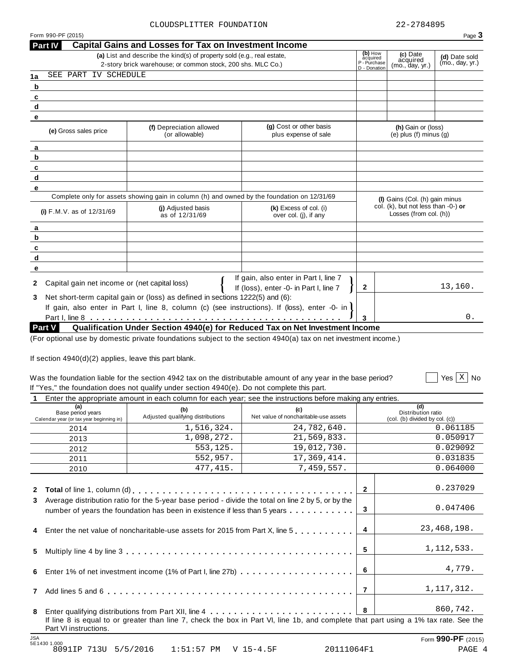| 2-story brick warehouse; or common stock, 200 shs. MLC Co.)<br>SEE PART IV SCHEDULE<br>(g) Cost or other basis<br>(f) Depreciation allowed<br>(e) Gross sales price<br>(or allowable)<br>plus expense of sale | P - Purchase<br>D - Donation | acquired<br>(mo., day, yr.)                                         | (mo., day, yr.)              |
|---------------------------------------------------------------------------------------------------------------------------------------------------------------------------------------------------------------|------------------------------|---------------------------------------------------------------------|------------------------------|
|                                                                                                                                                                                                               |                              |                                                                     |                              |
|                                                                                                                                                                                                               |                              |                                                                     |                              |
|                                                                                                                                                                                                               |                              |                                                                     |                              |
|                                                                                                                                                                                                               |                              |                                                                     |                              |
|                                                                                                                                                                                                               |                              |                                                                     |                              |
|                                                                                                                                                                                                               |                              | (h) Gain or (loss)                                                  |                              |
|                                                                                                                                                                                                               |                              | $(e)$ plus $(f)$ minus $(q)$                                        |                              |
|                                                                                                                                                                                                               |                              |                                                                     |                              |
|                                                                                                                                                                                                               |                              |                                                                     |                              |
|                                                                                                                                                                                                               |                              |                                                                     |                              |
|                                                                                                                                                                                                               |                              |                                                                     |                              |
|                                                                                                                                                                                                               |                              |                                                                     |                              |
| Complete only for assets showing gain in column (h) and owned by the foundation on 12/31/69                                                                                                                   |                              | (I) Gains (Col. (h) gain minus                                      |                              |
| (i) Adjusted basis<br>$(k)$ Excess of col. (i)<br>(i) $F.M.V.$ as of $12/31/69$<br>as of 12/31/69<br>over col. (i), if any                                                                                    |                              | col. $(k)$ , but not less than $-0$ -) or<br>Losses (from col. (h)) |                              |
|                                                                                                                                                                                                               |                              |                                                                     |                              |
|                                                                                                                                                                                                               |                              |                                                                     |                              |
|                                                                                                                                                                                                               |                              |                                                                     |                              |
|                                                                                                                                                                                                               |                              |                                                                     |                              |
|                                                                                                                                                                                                               |                              |                                                                     |                              |
| If gain, also enter in Part I, line 7<br>Capital gain net income or (net capital loss)<br>If (loss), enter -0- in Part I, line 7                                                                              | $\mathbf{2}$                 |                                                                     | 13,160.                      |
| Net short-term capital gain or (loss) as defined in sections 1222(5) and (6):                                                                                                                                 |                              |                                                                     |                              |
| If gain, also enter in Part I, line 8, column (c) (see instructions). If (loss), enter -0- in $\mathbf l$                                                                                                     |                              |                                                                     |                              |
|                                                                                                                                                                                                               | 3                            |                                                                     | 0.                           |
| <b>Part V</b><br>Qualification Under Section 4940(e) for Reduced Tax on Net Investment Income                                                                                                                 |                              |                                                                     |                              |
|                                                                                                                                                                                                               |                              |                                                                     |                              |
| Was the foundation liable for the section 4942 tax on the distributable amount of any year in the base period?<br>If "Yes," the foundation does not qualify under section 4940(e). Do not complete this part. |                              |                                                                     |                              |
| Enter the appropriate amount in each column for each year; see the instructions before making any entries.                                                                                                    |                              |                                                                     |                              |
| (a)<br>(b)<br>(c)                                                                                                                                                                                             |                              | (d)                                                                 |                              |
| Base period years<br>Adjusted qualifying distributions<br>Net value of noncharitable-use assets<br>Calendar year (or tax year beginning in)                                                                   |                              | Distribution ratio<br>(col. (b) divided by col. (c))                |                              |
| 1,516,324.<br>24,782,640.<br>2014                                                                                                                                                                             |                              |                                                                     | 0.061185                     |
| 1,098,272.<br>21,569,833.<br>2013                                                                                                                                                                             |                              |                                                                     | 0.050917                     |
| 553, 125.<br>19,012,730.<br>2012                                                                                                                                                                              |                              |                                                                     | 0.029092                     |
| 552,957.<br>17, 369, 414.<br>2011                                                                                                                                                                             |                              |                                                                     | 0.031835                     |
| 477,415.<br>7,459,557.<br>2010                                                                                                                                                                                |                              |                                                                     | 0.064000                     |
|                                                                                                                                                                                                               |                              |                                                                     |                              |
|                                                                                                                                                                                                               | $\mathbf{2}$                 |                                                                     | 0.237029                     |
| 3 Average distribution ratio for the 5-year base period - divide the total on line 2 by 5, or by the                                                                                                          |                              |                                                                     |                              |
| number of years the foundation has been in existence if less than 5 years                                                                                                                                     | 3                            |                                                                     | 0.047406                     |
| Enter the net value of noncharitable-use assets for 2015 from Part X, line 5                                                                                                                                  | 4                            |                                                                     | 23, 468, 198.                |
|                                                                                                                                                                                                               | 5                            |                                                                     | 1,112,533.                   |
|                                                                                                                                                                                                               | 6                            |                                                                     | 4,779.                       |
|                                                                                                                                                                                                               | $\overline{7}$               |                                                                     | 1, 117, 312.                 |
|                                                                                                                                                                                                               | 8                            |                                                                     | Yes $X \mid N$ o<br>860,742. |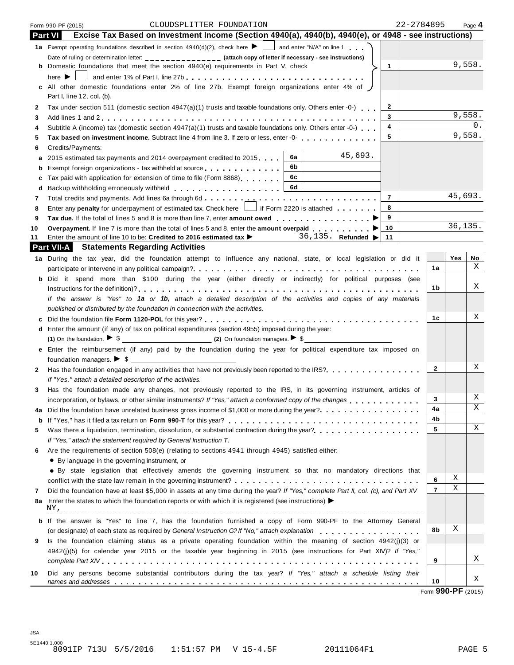|    | 22-2784895<br>CLOUDSPLITTER FOUNDATION<br>Form 990-PF (2015)                                                                             |                |          | Page 4 |
|----|------------------------------------------------------------------------------------------------------------------------------------------|----------------|----------|--------|
|    | Excise Tax Based on Investment Income (Section 4940(a), 4940(b), 4940(e), or 4948 - see instructions)<br><b>Part VI</b>                  |                |          |        |
|    | 1a Exempt operating foundations described in section 4940(d)(2), check here $\blacktriangleright \bigsqcup$ and enter "N/A" on line 1.   |                |          |        |
|    | Date of ruling or determination letter: ______________ (attach copy of letter if necessary - see instructions)                           |                |          |        |
|    | <b>b</b> Domestic foundations that meet the section 4940(e) requirements in Part V, check<br>$\mathbf{1}$                                |                | 9,558.   |        |
|    | here $\blacktriangleright$ 1<br>____] and enter 1% of Part I, line 27b .................................                                 |                |          |        |
|    | c All other domestic foundations enter 2% of line 27b. Exempt foreign organizations enter 4% of J                                        |                |          |        |
|    | Part I, line 12, col. (b).                                                                                                               |                |          |        |
| 2  | Tax under section 511 (domestic section 4947(a)(1) trusts and taxable foundations only. Others enter -0-)<br>2                           |                |          |        |
| 3  | 3                                                                                                                                        |                | 9,558.   |        |
| 4  | Subtitle A (income) tax (domestic section 4947(a)(1) trusts and taxable foundations only. Others enter -0-)<br>4                         |                |          | 0.     |
| 5  | 5<br>Tax based on investment income. Subtract line 4 from line 3. If zero or less, enter -0-                                             |                | 9,558.   |        |
| 6  | Credits/Payments:                                                                                                                        |                |          |        |
| а  | 45,693.<br>6a<br>2015 estimated tax payments and 2014 overpayment credited to 2015                                                       |                |          |        |
| b  | 6b<br>Exempt foreign organizations - tax withheld at source                                                                              |                |          |        |
| с  | 6с<br>Tax paid with application for extension of time to file (Form 8868)                                                                |                |          |        |
| d  | 6d                                                                                                                                       |                |          |        |
| 7  | $\overline{7}$                                                                                                                           |                | 45,693.  |        |
| 8  | 8<br>Enter any penalty for underpayment of estimated tax. Check here     if Form 2220 is attached                                        |                |          |        |
| 9  | 9<br>Tax due. If the total of lines 5 and 8 is more than line 7, enter amount owed proper proper property in Demonst                     |                |          |        |
| 10 | Overpayment. If line 7 is more than the total of lines 5 and 8, enter the amount overpaid $\ldots$ , $\ldots$<br>10                      |                | 36, 135. |        |
| 11 | 36, 135. Refunded $\blacktriangleright$<br>Enter the amount of line 10 to be: Credited to 2016 estimated tax $\blacktriangleright$<br>11 |                |          |        |
|    | <b>Part VII-A</b> Statements Regarding Activities                                                                                        |                |          |        |
|    | 1a During the tax year, did the foundation attempt to influence any national, state, or local legislation or did it                      |                | Yes      | No     |
|    |                                                                                                                                          | 1a             |          | X      |
|    | b Did it spend more than \$100 during the year (either directly or indirectly) for political purposes (see                               |                |          |        |
|    |                                                                                                                                          | 1b             |          | Χ      |
|    | If the answer is "Yes" to 1a or 1b, attach a detailed description of the activities and copies of any materials                          |                |          |        |
|    | published or distributed by the foundation in connection with the activities.                                                            |                |          |        |
|    |                                                                                                                                          | 1c             |          | Χ      |
|    | d Enter the amount (if any) of tax on political expenditures (section 4955) imposed during the year:                                     |                |          |        |
|    | (1) On the foundation. $\triangleright$ \$                                                                                               |                |          |        |
|    | e Enter the reimbursement (if any) paid by the foundation during the year for political expenditure tax imposed on                       |                |          |        |
|    | foundation managers. $\triangleright$ \$                                                                                                 |                |          | Χ      |
| 2  | Has the foundation engaged in any activities that have not previously been reported to the IRS?                                          | $\mathbf{2}$   |          |        |
|    | If "Yes," attach a detailed description of the activities.                                                                               |                |          |        |
| 3  | Has the foundation made any changes, not previously reported to the IRS, in its governing instrument, articles of                        | 3              |          | Χ      |
|    | incorporation, or bylaws, or other similar instruments? If "Yes," attach a conformed copy of the changes                                 | 4a             |          | Χ      |
| 4a | Did the foundation have unrelated business gross income of \$1,000 or more during the year?<br>                                          | 4b             |          |        |
| b  | Was there a liquidation, termination, dissolution, or substantial contraction during the year?<br>                                       | 5              |          | Χ      |
| 5  | If "Yes," attach the statement required by General Instruction T.                                                                        |                |          |        |
| 6  | Are the requirements of section 508(e) (relating to sections 4941 through 4945) satisfied either:                                        |                |          |        |
|    | • By language in the governing instrument, or                                                                                            |                |          |        |
|    | • By state legislation that effectively amends the governing instrument so that no mandatory directions that                             |                |          |        |
|    |                                                                                                                                          | 6              | Χ        |        |
| 7  | Did the foundation have at least \$5,000 in assets at any time during the year? If "Yes," complete Part II, col. (c), and Part XV        | $\overline{7}$ | Χ        |        |
| 8a | Enter the states to which the foundation reports or with which it is registered (see instructions)                                       |                |          |        |
|    | NY,                                                                                                                                      |                |          |        |
|    | <b>b</b> If the answer is "Yes" to line 7, has the foundation furnished a copy of Form 990-PF to the Attorney General                    |                |          |        |
|    | (or designate) of each state as required by General Instruction G? If "No," attach explanation                                           | 8b             | Χ        |        |
| 9  | Is the foundation claiming status as a private operating foundation within the meaning of section 4942(j)(3) or                          |                |          |        |

*complete Part XIV* m m m m m m m m m m m m m m m m m m m m m m m m m m m m m m m m m m m m m m m m m m m m m m m m m m m m m **<sup>9</sup> 10** Did any persons become substantial contributors during the tax year? *If "Yes," attach a schedule listing their names* and addresses <u>mass measures manual measures measures measures measures and addresses  $\ldots \ldots \ldots \ldots \ldots$ </u>

4942(j)(5) for calendar year 2015 or the taxable year beginning in 2015 (see instructions for Part XIV)? *If "Yes,"*

Form **990-PF** (2015)

X

X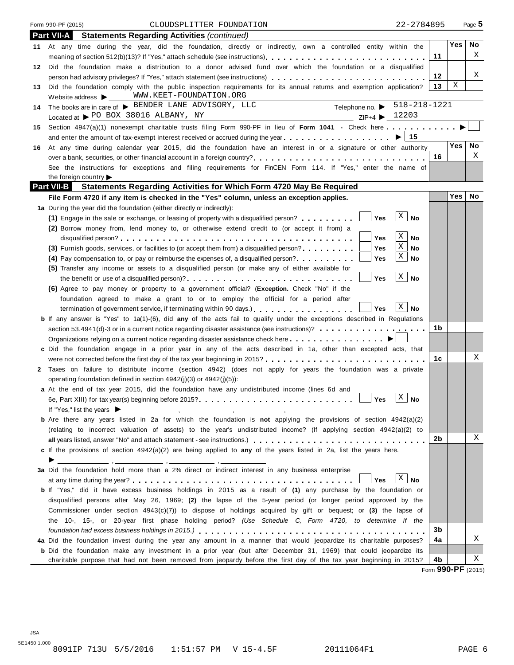|    | Form 990-PF (2015)<br>22-2784895<br>CLOUDSPLITTER FOUNDATION                                                                                                                                                                          |    |                  | Page 5 |
|----|---------------------------------------------------------------------------------------------------------------------------------------------------------------------------------------------------------------------------------------|----|------------------|--------|
|    | Part VII-A<br><b>Statements Regarding Activities (continued)</b>                                                                                                                                                                      |    |                  |        |
| 11 | At any time during the year, did the foundation, directly or indirectly, own a controlled entity within the                                                                                                                           |    | Yes <sub>1</sub> | No     |
|    |                                                                                                                                                                                                                                       | 11 |                  | X      |
| 12 | Did the foundation make a distribution to a donor advised fund over which the foundation or a disqualified                                                                                                                            |    |                  |        |
|    | person had advisory privileges? If "Yes," attach statement (see instructions)                                                                                                                                                         | 12 |                  | Χ      |
| 13 | Did the foundation comply with the public inspection requirements for its annual returns and exemption application?                                                                                                                   | 13 | Χ                |        |
|    | WWW.KEET-FOUNDATION.ORG<br>Website address $\blacktriangleright$                                                                                                                                                                      |    |                  |        |
| 14 | Telephone no. $\triangleright$ 518-218-1221<br>The books are in care of > BENDER LANE ADVISORY, LLC                                                                                                                                   |    |                  |        |
|    | Located at > PO BOX 38016 ALBANY, NY<br>$ZIP+4$ $\triangleright$ 12203                                                                                                                                                                |    |                  |        |
| 15 | Section 4947(a)(1) nonexempt charitable trusts filing Form 990-PF in lieu of Form 1041 - Check here                                                                                                                                   |    |                  |        |
|    | and enter the amount of tax-exempt interest received or accrued during the year $\dots \dots \dots \dots \dots \dots \dots \longrightarrow \boxed{15}$                                                                                |    |                  |        |
| 16 | At any time during calendar year 2015, did the foundation have an interest in or a signature or other authority                                                                                                                       |    | Yes              | No     |
|    |                                                                                                                                                                                                                                       | 16 |                  | X      |
|    | See the instructions for exceptions and filing requirements for FinCEN Form 114. If "Yes," enter the name of                                                                                                                          |    |                  |        |
|    | the foreign country                                                                                                                                                                                                                   |    |                  |        |
|    | <b>Part VII-B</b><br>Statements Regarding Activities for Which Form 4720 May Be Required                                                                                                                                              |    | Yes              | No     |
|    | File Form 4720 if any item is checked in the "Yes" column, unless an exception applies.                                                                                                                                               |    |                  |        |
|    | 1a During the year did the foundation (either directly or indirectly):<br>$\vert$ X $\vert$<br><b>No</b>                                                                                                                              |    |                  |        |
|    | (1) Engage in the sale or exchange, or leasing of property with a disqualified person?<br>Yes<br>(2) Borrow money from, lend money to, or otherwise extend credit to (or accept it from) a                                            |    |                  |        |
|    | Χ<br>No<br>Yes                                                                                                                                                                                                                        |    |                  |        |
|    | Χ<br>(3) Furnish goods, services, or facilities to (or accept them from) a disqualified person?<br>Yes<br>No                                                                                                                          |    |                  |        |
|    | Χ<br>Yes<br>No<br>(4) Pay compensation to, or pay or reimburse the expenses of, a disqualified person?                                                                                                                                |    |                  |        |
|    | (5) Transfer any income or assets to a disqualified person (or make any of either available for                                                                                                                                       |    |                  |        |
|    | X<br><b>No</b><br>Yes<br>the benefit or use of a disqualified person)?                                                                                                                                                                |    |                  |        |
|    | (6) Agree to pay money or property to a government official? (Exception. Check "No" if the                                                                                                                                            |    |                  |        |
|    | foundation agreed to make a grant to or to employ the official for a period after                                                                                                                                                     |    |                  |        |
|    | $\mathbf{X}$<br>No<br>Yes<br>termination of government service, if terminating within 90 days.                                                                                                                                        |    |                  |        |
|    | <b>b</b> If any answer is "Yes" to 1a(1)-(6), did any of the acts fail to qualify under the exceptions described in Regulations                                                                                                       |    |                  |        |
|    | section 53.4941(d)-3 or in a current notice regarding disaster assistance (see instructions)?                                                                                                                                         | 1b |                  |        |
|    |                                                                                                                                                                                                                                       |    |                  |        |
|    | c Did the foundation engage in a prior year in any of the acts described in 1a, other than excepted acts, that                                                                                                                        |    |                  |        |
|    |                                                                                                                                                                                                                                       | 1c |                  | Χ      |
| 2  | Taxes on failure to distribute income (section 4942) (does not apply for years the foundation was a private                                                                                                                           |    |                  |        |
|    | operating foundation defined in section $4942(i)(3)$ or $4942(i)(5)$ :                                                                                                                                                                |    |                  |        |
|    | <b>a</b> At the end of tax year 2015, did the foundation have any undistributed income (lines 6d and<br>$\Box$<br>$\overline{z}$                                                                                                      |    |                  |        |
|    | ∆   No                                                                                                                                                                                                                                |    |                  |        |
|    |                                                                                                                                                                                                                                       |    |                  |        |
|    | <b>b</b> Are there any years listed in 2a for which the foundation is not applying the provisions of section $4942(a)(2)$                                                                                                             |    |                  |        |
|    | (relating to incorrect valuation of assets) to the year's undistributed income? (If applying section 4942(a)(2) to                                                                                                                    |    |                  |        |
|    |                                                                                                                                                                                                                                       | 2b |                  | Χ      |
|    | c If the provisions of section $4942(a)(2)$ are being applied to any of the years listed in 2a, list the years here.                                                                                                                  |    |                  |        |
|    | ▶                                                                                                                                                                                                                                     |    |                  |        |
|    | 3a Did the foundation hold more than a 2% direct or indirect interest in any business enterprise<br>$\mathbf{X}$                                                                                                                      |    |                  |        |
|    | Yes<br>No                                                                                                                                                                                                                             |    |                  |        |
|    | <b>b</b> If "Yes," did it have excess business holdings in 2015 as a result of (1) any purchase by the foundation or<br>disqualified persons after May 26, 1969; (2) the lapse of the 5-year period (or longer period approved by the |    |                  |        |
|    | Commissioner under section $4943(c)(7)$ ) to dispose of holdings acquired by gift or bequest; or (3) the lapse of                                                                                                                     |    |                  |        |
|    | the 10-, 15-, or 20-year first phase holding period? (Use Schedule C, Form 4720, to determine if the                                                                                                                                  |    |                  |        |
|    |                                                                                                                                                                                                                                       | 3b |                  |        |
|    | 4a Did the foundation invest during the year any amount in a manner that would jeopardize its charitable purposes?                                                                                                                    | 4a |                  | Χ      |
|    | <b>b</b> Did the foundation make any investment in a prior year (but after December 31, 1969) that could jeopardize its                                                                                                               |    |                  |        |
|    | charitable purpose that had not been removed from jeopardy before the first day of the tax year beginning in 2015?                                                                                                                    | 4b |                  | Χ      |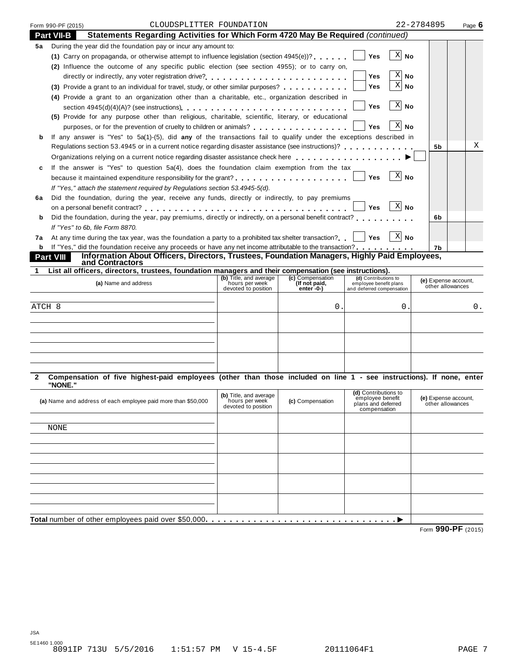| Form 990-PF (2015)                                                                                   |                            | CLOUDSPLITTER FOUNDATION                                        |                                                                                                                                                |                                                                             | 22-2784895                                                                                                                                                                                                                                                                                                                                                                                                                                                                                                                                                                                                                                                                                                                                                                                                                                                                                                                                                                                                                                                                                                                                                                                                                                  | Page $6$                                                                                                                                                                                                                                                                                                                                                                                                                                                                                                                                                                                                                                                                                                                                     |
|------------------------------------------------------------------------------------------------------|----------------------------|-----------------------------------------------------------------|------------------------------------------------------------------------------------------------------------------------------------------------|-----------------------------------------------------------------------------|---------------------------------------------------------------------------------------------------------------------------------------------------------------------------------------------------------------------------------------------------------------------------------------------------------------------------------------------------------------------------------------------------------------------------------------------------------------------------------------------------------------------------------------------------------------------------------------------------------------------------------------------------------------------------------------------------------------------------------------------------------------------------------------------------------------------------------------------------------------------------------------------------------------------------------------------------------------------------------------------------------------------------------------------------------------------------------------------------------------------------------------------------------------------------------------------------------------------------------------------|----------------------------------------------------------------------------------------------------------------------------------------------------------------------------------------------------------------------------------------------------------------------------------------------------------------------------------------------------------------------------------------------------------------------------------------------------------------------------------------------------------------------------------------------------------------------------------------------------------------------------------------------------------------------------------------------------------------------------------------------|
| Statements Regarding Activities for Which Form 4720 May Be Required (continued)<br><b>Part VII-B</b> |                            |                                                                 |                                                                                                                                                |                                                                             |                                                                                                                                                                                                                                                                                                                                                                                                                                                                                                                                                                                                                                                                                                                                                                                                                                                                                                                                                                                                                                                                                                                                                                                                                                             |                                                                                                                                                                                                                                                                                                                                                                                                                                                                                                                                                                                                                                                                                                                                              |
|                                                                                                      |                            |                                                                 |                                                                                                                                                |                                                                             |                                                                                                                                                                                                                                                                                                                                                                                                                                                                                                                                                                                                                                                                                                                                                                                                                                                                                                                                                                                                                                                                                                                                                                                                                                             |                                                                                                                                                                                                                                                                                                                                                                                                                                                                                                                                                                                                                                                                                                                                              |
|                                                                                                      |                            |                                                                 |                                                                                                                                                | Yes                                                                         |                                                                                                                                                                                                                                                                                                                                                                                                                                                                                                                                                                                                                                                                                                                                                                                                                                                                                                                                                                                                                                                                                                                                                                                                                                             |                                                                                                                                                                                                                                                                                                                                                                                                                                                                                                                                                                                                                                                                                                                                              |
|                                                                                                      |                            |                                                                 |                                                                                                                                                |                                                                             |                                                                                                                                                                                                                                                                                                                                                                                                                                                                                                                                                                                                                                                                                                                                                                                                                                                                                                                                                                                                                                                                                                                                                                                                                                             |                                                                                                                                                                                                                                                                                                                                                                                                                                                                                                                                                                                                                                                                                                                                              |
|                                                                                                      |                            |                                                                 |                                                                                                                                                | Yes                                                                         |                                                                                                                                                                                                                                                                                                                                                                                                                                                                                                                                                                                                                                                                                                                                                                                                                                                                                                                                                                                                                                                                                                                                                                                                                                             |                                                                                                                                                                                                                                                                                                                                                                                                                                                                                                                                                                                                                                                                                                                                              |
|                                                                                                      |                            |                                                                 |                                                                                                                                                | Yes                                                                         |                                                                                                                                                                                                                                                                                                                                                                                                                                                                                                                                                                                                                                                                                                                                                                                                                                                                                                                                                                                                                                                                                                                                                                                                                                             |                                                                                                                                                                                                                                                                                                                                                                                                                                                                                                                                                                                                                                                                                                                                              |
|                                                                                                      |                            |                                                                 |                                                                                                                                                |                                                                             |                                                                                                                                                                                                                                                                                                                                                                                                                                                                                                                                                                                                                                                                                                                                                                                                                                                                                                                                                                                                                                                                                                                                                                                                                                             |                                                                                                                                                                                                                                                                                                                                                                                                                                                                                                                                                                                                                                                                                                                                              |
|                                                                                                      |                            |                                                                 |                                                                                                                                                | <b>Yes</b>                                                                  |                                                                                                                                                                                                                                                                                                                                                                                                                                                                                                                                                                                                                                                                                                                                                                                                                                                                                                                                                                                                                                                                                                                                                                                                                                             |                                                                                                                                                                                                                                                                                                                                                                                                                                                                                                                                                                                                                                                                                                                                              |
|                                                                                                      |                            |                                                                 |                                                                                                                                                |                                                                             |                                                                                                                                                                                                                                                                                                                                                                                                                                                                                                                                                                                                                                                                                                                                                                                                                                                                                                                                                                                                                                                                                                                                                                                                                                             |                                                                                                                                                                                                                                                                                                                                                                                                                                                                                                                                                                                                                                                                                                                                              |
|                                                                                                      |                            |                                                                 |                                                                                                                                                | <b>Yes</b>                                                                  |                                                                                                                                                                                                                                                                                                                                                                                                                                                                                                                                                                                                                                                                                                                                                                                                                                                                                                                                                                                                                                                                                                                                                                                                                                             |                                                                                                                                                                                                                                                                                                                                                                                                                                                                                                                                                                                                                                                                                                                                              |
|                                                                                                      |                            |                                                                 |                                                                                                                                                |                                                                             |                                                                                                                                                                                                                                                                                                                                                                                                                                                                                                                                                                                                                                                                                                                                                                                                                                                                                                                                                                                                                                                                                                                                                                                                                                             |                                                                                                                                                                                                                                                                                                                                                                                                                                                                                                                                                                                                                                                                                                                                              |
|                                                                                                      |                            |                                                                 |                                                                                                                                                |                                                                             | 5b                                                                                                                                                                                                                                                                                                                                                                                                                                                                                                                                                                                                                                                                                                                                                                                                                                                                                                                                                                                                                                                                                                                                                                                                                                          | Χ                                                                                                                                                                                                                                                                                                                                                                                                                                                                                                                                                                                                                                                                                                                                            |
|                                                                                                      |                            |                                                                 |                                                                                                                                                |                                                                             |                                                                                                                                                                                                                                                                                                                                                                                                                                                                                                                                                                                                                                                                                                                                                                                                                                                                                                                                                                                                                                                                                                                                                                                                                                             |                                                                                                                                                                                                                                                                                                                                                                                                                                                                                                                                                                                                                                                                                                                                              |
|                                                                                                      |                            |                                                                 |                                                                                                                                                |                                                                             |                                                                                                                                                                                                                                                                                                                                                                                                                                                                                                                                                                                                                                                                                                                                                                                                                                                                                                                                                                                                                                                                                                                                                                                                                                             |                                                                                                                                                                                                                                                                                                                                                                                                                                                                                                                                                                                                                                                                                                                                              |
|                                                                                                      |                            |                                                                 |                                                                                                                                                | Yes                                                                         |                                                                                                                                                                                                                                                                                                                                                                                                                                                                                                                                                                                                                                                                                                                                                                                                                                                                                                                                                                                                                                                                                                                                                                                                                                             |                                                                                                                                                                                                                                                                                                                                                                                                                                                                                                                                                                                                                                                                                                                                              |
|                                                                                                      |                            |                                                                 |                                                                                                                                                |                                                                             |                                                                                                                                                                                                                                                                                                                                                                                                                                                                                                                                                                                                                                                                                                                                                                                                                                                                                                                                                                                                                                                                                                                                                                                                                                             |                                                                                                                                                                                                                                                                                                                                                                                                                                                                                                                                                                                                                                                                                                                                              |
|                                                                                                      |                            |                                                                 |                                                                                                                                                |                                                                             |                                                                                                                                                                                                                                                                                                                                                                                                                                                                                                                                                                                                                                                                                                                                                                                                                                                                                                                                                                                                                                                                                                                                                                                                                                             |                                                                                                                                                                                                                                                                                                                                                                                                                                                                                                                                                                                                                                                                                                                                              |
|                                                                                                      |                            |                                                                 |                                                                                                                                                | <b>Yes</b>                                                                  |                                                                                                                                                                                                                                                                                                                                                                                                                                                                                                                                                                                                                                                                                                                                                                                                                                                                                                                                                                                                                                                                                                                                                                                                                                             |                                                                                                                                                                                                                                                                                                                                                                                                                                                                                                                                                                                                                                                                                                                                              |
|                                                                                                      |                            |                                                                 |                                                                                                                                                |                                                                             | 6b                                                                                                                                                                                                                                                                                                                                                                                                                                                                                                                                                                                                                                                                                                                                                                                                                                                                                                                                                                                                                                                                                                                                                                                                                                          |                                                                                                                                                                                                                                                                                                                                                                                                                                                                                                                                                                                                                                                                                                                                              |
| If "Yes" to 6b, file Form 8870.                                                                      |                            |                                                                 |                                                                                                                                                |                                                                             |                                                                                                                                                                                                                                                                                                                                                                                                                                                                                                                                                                                                                                                                                                                                                                                                                                                                                                                                                                                                                                                                                                                                                                                                                                             |                                                                                                                                                                                                                                                                                                                                                                                                                                                                                                                                                                                                                                                                                                                                              |
|                                                                                                      |                            |                                                                 |                                                                                                                                                |                                                                             |                                                                                                                                                                                                                                                                                                                                                                                                                                                                                                                                                                                                                                                                                                                                                                                                                                                                                                                                                                                                                                                                                                                                                                                                                                             |                                                                                                                                                                                                                                                                                                                                                                                                                                                                                                                                                                                                                                                                                                                                              |
|                                                                                                      |                            |                                                                 |                                                                                                                                                |                                                                             | 7b                                                                                                                                                                                                                                                                                                                                                                                                                                                                                                                                                                                                                                                                                                                                                                                                                                                                                                                                                                                                                                                                                                                                                                                                                                          |                                                                                                                                                                                                                                                                                                                                                                                                                                                                                                                                                                                                                                                                                                                                              |
| <b>Part VIII</b>                                                                                     |                            |                                                                 |                                                                                                                                                |                                                                             |                                                                                                                                                                                                                                                                                                                                                                                                                                                                                                                                                                                                                                                                                                                                                                                                                                                                                                                                                                                                                                                                                                                                                                                                                                             |                                                                                                                                                                                                                                                                                                                                                                                                                                                                                                                                                                                                                                                                                                                                              |
|                                                                                                      |                            |                                                                 |                                                                                                                                                |                                                                             |                                                                                                                                                                                                                                                                                                                                                                                                                                                                                                                                                                                                                                                                                                                                                                                                                                                                                                                                                                                                                                                                                                                                                                                                                                             |                                                                                                                                                                                                                                                                                                                                                                                                                                                                                                                                                                                                                                                                                                                                              |
| (a) Name and address                                                                                 |                            | (b) Title, and average<br>hours per week<br>devoted to position | (c) Compensation<br>(If not paid,<br>$enter - 0-$                                                                                              | (d) Contributions to<br>employee benefit plans<br>and deferred compensation |                                                                                                                                                                                                                                                                                                                                                                                                                                                                                                                                                                                                                                                                                                                                                                                                                                                                                                                                                                                                                                                                                                                                                                                                                                             |                                                                                                                                                                                                                                                                                                                                                                                                                                                                                                                                                                                                                                                                                                                                              |
|                                                                                                      |                            |                                                                 |                                                                                                                                                |                                                                             |                                                                                                                                                                                                                                                                                                                                                                                                                                                                                                                                                                                                                                                                                                                                                                                                                                                                                                                                                                                                                                                                                                                                                                                                                                             |                                                                                                                                                                                                                                                                                                                                                                                                                                                                                                                                                                                                                                                                                                                                              |
| ATCH 8                                                                                               |                            |                                                                 |                                                                                                                                                |                                                                             |                                                                                                                                                                                                                                                                                                                                                                                                                                                                                                                                                                                                                                                                                                                                                                                                                                                                                                                                                                                                                                                                                                                                                                                                                                             | 0.                                                                                                                                                                                                                                                                                                                                                                                                                                                                                                                                                                                                                                                                                                                                           |
|                                                                                                      |                            |                                                                 |                                                                                                                                                |                                                                             |                                                                                                                                                                                                                                                                                                                                                                                                                                                                                                                                                                                                                                                                                                                                                                                                                                                                                                                                                                                                                                                                                                                                                                                                                                             |                                                                                                                                                                                                                                                                                                                                                                                                                                                                                                                                                                                                                                                                                                                                              |
|                                                                                                      |                            |                                                                 |                                                                                                                                                |                                                                             |                                                                                                                                                                                                                                                                                                                                                                                                                                                                                                                                                                                                                                                                                                                                                                                                                                                                                                                                                                                                                                                                                                                                                                                                                                             |                                                                                                                                                                                                                                                                                                                                                                                                                                                                                                                                                                                                                                                                                                                                              |
|                                                                                                      |                            |                                                                 |                                                                                                                                                |                                                                             |                                                                                                                                                                                                                                                                                                                                                                                                                                                                                                                                                                                                                                                                                                                                                                                                                                                                                                                                                                                                                                                                                                                                                                                                                                             |                                                                                                                                                                                                                                                                                                                                                                                                                                                                                                                                                                                                                                                                                                                                              |
|                                                                                                      |                            |                                                                 |                                                                                                                                                |                                                                             |                                                                                                                                                                                                                                                                                                                                                                                                                                                                                                                                                                                                                                                                                                                                                                                                                                                                                                                                                                                                                                                                                                                                                                                                                                             |                                                                                                                                                                                                                                                                                                                                                                                                                                                                                                                                                                                                                                                                                                                                              |
|                                                                                                      |                            |                                                                 |                                                                                                                                                |                                                                             |                                                                                                                                                                                                                                                                                                                                                                                                                                                                                                                                                                                                                                                                                                                                                                                                                                                                                                                                                                                                                                                                                                                                                                                                                                             |                                                                                                                                                                                                                                                                                                                                                                                                                                                                                                                                                                                                                                                                                                                                              |
|                                                                                                      |                            |                                                                 |                                                                                                                                                |                                                                             |                                                                                                                                                                                                                                                                                                                                                                                                                                                                                                                                                                                                                                                                                                                                                                                                                                                                                                                                                                                                                                                                                                                                                                                                                                             |                                                                                                                                                                                                                                                                                                                                                                                                                                                                                                                                                                                                                                                                                                                                              |
|                                                                                                      |                            |                                                                 |                                                                                                                                                |                                                                             |                                                                                                                                                                                                                                                                                                                                                                                                                                                                                                                                                                                                                                                                                                                                                                                                                                                                                                                                                                                                                                                                                                                                                                                                                                             |                                                                                                                                                                                                                                                                                                                                                                                                                                                                                                                                                                                                                                                                                                                                              |
|                                                                                                      |                            | (b) Title, and average<br>hours per week<br>devoted to position | (c) Compensation                                                                                                                               | (d) Contributions to<br>employee benefit<br>plans and deferred              |                                                                                                                                                                                                                                                                                                                                                                                                                                                                                                                                                                                                                                                                                                                                                                                                                                                                                                                                                                                                                                                                                                                                                                                                                                             |                                                                                                                                                                                                                                                                                                                                                                                                                                                                                                                                                                                                                                                                                                                                              |
|                                                                                                      |                            |                                                                 |                                                                                                                                                |                                                                             |                                                                                                                                                                                                                                                                                                                                                                                                                                                                                                                                                                                                                                                                                                                                                                                                                                                                                                                                                                                                                                                                                                                                                                                                                                             |                                                                                                                                                                                                                                                                                                                                                                                                                                                                                                                                                                                                                                                                                                                                              |
| NONE                                                                                                 |                            |                                                                 |                                                                                                                                                |                                                                             |                                                                                                                                                                                                                                                                                                                                                                                                                                                                                                                                                                                                                                                                                                                                                                                                                                                                                                                                                                                                                                                                                                                                                                                                                                             |                                                                                                                                                                                                                                                                                                                                                                                                                                                                                                                                                                                                                                                                                                                                              |
|                                                                                                      |                            |                                                                 |                                                                                                                                                |                                                                             |                                                                                                                                                                                                                                                                                                                                                                                                                                                                                                                                                                                                                                                                                                                                                                                                                                                                                                                                                                                                                                                                                                                                                                                                                                             |                                                                                                                                                                                                                                                                                                                                                                                                                                                                                                                                                                                                                                                                                                                                              |
|                                                                                                      |                            |                                                                 |                                                                                                                                                |                                                                             |                                                                                                                                                                                                                                                                                                                                                                                                                                                                                                                                                                                                                                                                                                                                                                                                                                                                                                                                                                                                                                                                                                                                                                                                                                             |                                                                                                                                                                                                                                                                                                                                                                                                                                                                                                                                                                                                                                                                                                                                              |
|                                                                                                      |                            |                                                                 |                                                                                                                                                |                                                                             |                                                                                                                                                                                                                                                                                                                                                                                                                                                                                                                                                                                                                                                                                                                                                                                                                                                                                                                                                                                                                                                                                                                                                                                                                                             |                                                                                                                                                                                                                                                                                                                                                                                                                                                                                                                                                                                                                                                                                                                                              |
|                                                                                                      |                            |                                                                 |                                                                                                                                                |                                                                             |                                                                                                                                                                                                                                                                                                                                                                                                                                                                                                                                                                                                                                                                                                                                                                                                                                                                                                                                                                                                                                                                                                                                                                                                                                             |                                                                                                                                                                                                                                                                                                                                                                                                                                                                                                                                                                                                                                                                                                                                              |
|                                                                                                      |                            |                                                                 |                                                                                                                                                |                                                                             |                                                                                                                                                                                                                                                                                                                                                                                                                                                                                                                                                                                                                                                                                                                                                                                                                                                                                                                                                                                                                                                                                                                                                                                                                                             |                                                                                                                                                                                                                                                                                                                                                                                                                                                                                                                                                                                                                                                                                                                                              |
|                                                                                                      |                            |                                                                 |                                                                                                                                                |                                                                             |                                                                                                                                                                                                                                                                                                                                                                                                                                                                                                                                                                                                                                                                                                                                                                                                                                                                                                                                                                                                                                                                                                                                                                                                                                             |                                                                                                                                                                                                                                                                                                                                                                                                                                                                                                                                                                                                                                                                                                                                              |
|                                                                                                      |                            |                                                                 |                                                                                                                                                |                                                                             |                                                                                                                                                                                                                                                                                                                                                                                                                                                                                                                                                                                                                                                                                                                                                                                                                                                                                                                                                                                                                                                                                                                                                                                                                                             |                                                                                                                                                                                                                                                                                                                                                                                                                                                                                                                                                                                                                                                                                                                                              |
|                                                                                                      |                            |                                                                 |                                                                                                                                                |                                                                             |                                                                                                                                                                                                                                                                                                                                                                                                                                                                                                                                                                                                                                                                                                                                                                                                                                                                                                                                                                                                                                                                                                                                                                                                                                             |                                                                                                                                                                                                                                                                                                                                                                                                                                                                                                                                                                                                                                                                                                                                              |
|                                                                                                      |                            |                                                                 |                                                                                                                                                |                                                                             |                                                                                                                                                                                                                                                                                                                                                                                                                                                                                                                                                                                                                                                                                                                                                                                                                                                                                                                                                                                                                                                                                                                                                                                                                                             |                                                                                                                                                                                                                                                                                                                                                                                                                                                                                                                                                                                                                                                                                                                                              |
|                                                                                                      | and Contractors<br>"NONE." | (a) Name and address of each employee paid more than \$50,000   | During the year did the foundation pay or incur any amount to:<br>If "Yes," attach the statement required by Regulations section 53.4945-5(d). | 0.                                                                          | (1) Carry on propaganda, or otherwise attempt to influence legislation (section $4945(e)$ )?<br>(2) Influence the outcome of any specific public election (see section 4955); or to carry on,<br>$\mathbf X$<br>(3) Provide a grant to an individual for travel, study, or other similar purposes?<br>(4) Provide a grant to an organization other than a charitable, etc., organization described in<br>(5) Provide for any purpose other than religious, charitable, scientific, literary, or educational<br>purposes, or for the prevention of cruelty to children or animals?<br>Regulations section 53.4945 or in a current notice regarding disaster assistance (see instructions)?<br>Organizations relying on a current notice regarding disaster assistance check here<br>If the answer is "Yes" to question $5a(4)$ , does the foundation claim exemption from the tax<br>Did the foundation, during the year, receive any funds, directly or indirectly, to pay premiums<br>At any time during the tax year, was the foundation a party to a prohibited tax shelter transaction? $\ \cdot\ $ Yes<br>List all officers, directors, trustees, foundation managers and their compensation (see instructions).<br>0.<br>compensation | $X$ No<br>$X $ No<br>No<br>$X$ No<br>$X$ No<br>If any answer is "Yes" to 5a(1)-(5), did any of the transactions fail to qualify under the exceptions described in<br>$X$ No<br>$X$ No<br>Did the foundation, during the year, pay premiums, directly or indirectly, on a personal benefit contract?<br>$ X $ No<br>If "Yes," did the foundation receive any proceeds or have any net income attributable to the transaction?<br>Information About Officers, Directors, Trustees, Foundation Managers, Highly Paid Employees,<br>(e) Expense account,<br>other allowances<br>Compensation of five highest-paid employees (other than those included on line 1 - see instructions). If none, enter<br>(e) Expense account,<br>other allowances |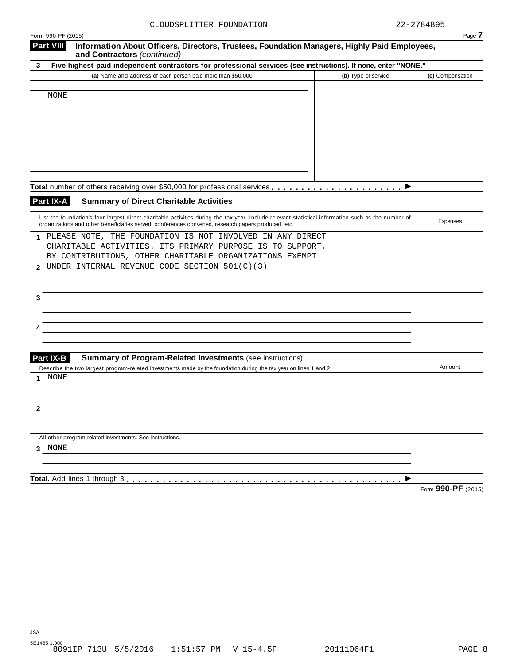| CLOUDSPLITTER FOUNDATION                                                                                                                            |                     | 22-2784895       |
|-----------------------------------------------------------------------------------------------------------------------------------------------------|---------------------|------------------|
| Form 990-PF (2015)<br>Information About Officers, Directors, Trustees, Foundation Managers, Highly Paid Employees,<br><b>Part VIII</b>              |                     | Page /           |
| and Contractors (continued)                                                                                                                         |                     |                  |
| Five highest-paid independent contractors for professional services (see instructions). If none, enter "NONE."<br>3                                 |                     |                  |
| (a) Name and address of each person paid more than \$50,000                                                                                         | (b) Type of service | (c) Compensation |
|                                                                                                                                                     |                     |                  |
| NONE                                                                                                                                                |                     |                  |
|                                                                                                                                                     |                     |                  |
|                                                                                                                                                     |                     |                  |
|                                                                                                                                                     |                     |                  |
|                                                                                                                                                     |                     |                  |
|                                                                                                                                                     |                     |                  |
|                                                                                                                                                     |                     |                  |
|                                                                                                                                                     |                     |                  |
|                                                                                                                                                     |                     |                  |
|                                                                                                                                                     |                     |                  |
| Part IX-A<br><b>Summary of Direct Charitable Activities</b>                                                                                         |                     |                  |
|                                                                                                                                                     |                     |                  |
| List the foundation's four largest direct charitable activities during the tax year. Include relevant statistical information such as the number of |                     | Expenses         |
| organizations and other beneficiaries served, conferences convened, research papers produced, etc.                                                  |                     |                  |
| PLEASE NOTE, THE FOUNDATION IS NOT INVOLVED IN ANY DIRECT                                                                                           |                     |                  |
| CHARITABLE ACTIVITIES. ITS PRIMARY PURPOSE IS TO SUPPORT,                                                                                           |                     |                  |
| BY CONTRIBUTIONS, OTHER CHARITABLE ORGANIZATIONS EXEMPT                                                                                             |                     |                  |
| UNDER INTERNAL REVENUE CODE SECTION 501(C)(3)<br>$\mathbf{2}$                                                                                       |                     |                  |
|                                                                                                                                                     |                     |                  |
|                                                                                                                                                     |                     |                  |
| 3                                                                                                                                                   |                     |                  |
|                                                                                                                                                     |                     |                  |
|                                                                                                                                                     |                     |                  |
|                                                                                                                                                     |                     |                  |
|                                                                                                                                                     |                     |                  |
|                                                                                                                                                     |                     |                  |
| Part IX-B<br><b>Summary of Program-Related Investments (see instructions)</b>                                                                       |                     |                  |
| Describe the two largest program-related investments made by the foundation during the tax year on lines 1 and 2.                                   |                     | Amount           |
| NONE                                                                                                                                                |                     |                  |
|                                                                                                                                                     |                     |                  |
|                                                                                                                                                     |                     |                  |
| 2                                                                                                                                                   |                     |                  |
|                                                                                                                                                     |                     |                  |
|                                                                                                                                                     |                     |                  |
| All other program-related investments. See instructions.                                                                                            |                     |                  |
| 3 NONE                                                                                                                                              |                     |                  |
|                                                                                                                                                     |                     |                  |
|                                                                                                                                                     |                     |                  |
|                                                                                                                                                     |                     |                  |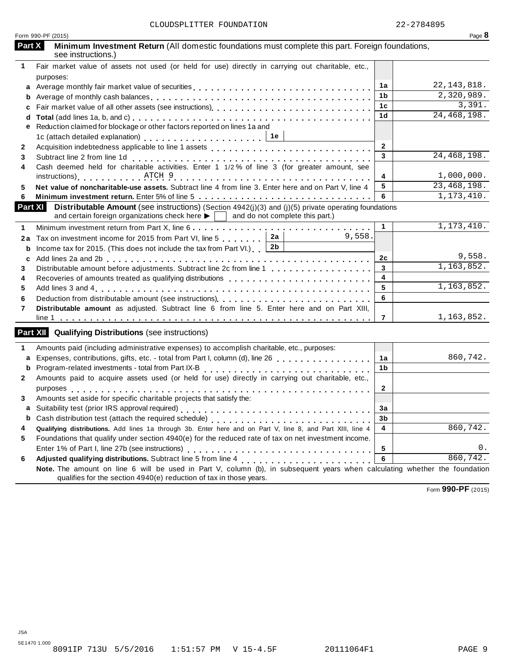| Form 990-PF (2015)                                                                                                                                                                                                           |                | Page 8        |
|------------------------------------------------------------------------------------------------------------------------------------------------------------------------------------------------------------------------------|----------------|---------------|
| Part X<br>Minimum Investment Return (All domestic foundations must complete this part. Foreign foundations,<br>see instructions.)                                                                                            |                |               |
| Fair market value of assets not used (or held for use) directly in carrying out charitable, etc.,<br>1                                                                                                                       |                |               |
| purposes:<br>Average monthly fair market value of securities<br>a                                                                                                                                                            | 1a             | 22, 143, 818. |
| b                                                                                                                                                                                                                            | 1b             | 2,320,989.    |
| C                                                                                                                                                                                                                            | 1c             | 3,391.        |
| d                                                                                                                                                                                                                            | 1 <sub>d</sub> | 24, 468, 198. |
| Reduction claimed for blockage or other factors reported on lines 1a and<br>е                                                                                                                                                |                |               |
|                                                                                                                                                                                                                              |                |               |
| $\mathbf{2}$                                                                                                                                                                                                                 | $\overline{2}$ |               |
| 3                                                                                                                                                                                                                            | 3              | 24, 468, 198. |
| Subtract line 2 from line 1d<br>Cash deemed held for charitable activities. Enter 1 1/2% of line 3 (for greater amount, see<br>4                                                                                             |                |               |
|                                                                                                                                                                                                                              | 4              | 1,000,000.    |
| Net value of noncharitable-use assets. Subtract line 4 from line 3. Enter here and on Part V, line 4<br>5                                                                                                                    | 5              | 23,468,198.   |
| 6                                                                                                                                                                                                                            | 6              | 1, 173, 410.  |
| <b>Part XI</b><br>Distributable Amount (see instructions) (Section 4942(j)(3) and (j)(5) private operating foundations<br>and certain foreign organizations check here $\blacktriangleright$ and do not complete this part.) |                |               |
| 1                                                                                                                                                                                                                            | $\mathbf{1}$   | 1, 173, 410.  |
| 9,558.<br>2a<br>Tax on investment income for 2015 from Part VI, line 5<br>2a                                                                                                                                                 |                |               |
| 2 <sub>b</sub><br>Income tax for 2015. (This does not include the tax from Part VI.) [<br>b                                                                                                                                  |                |               |
| c                                                                                                                                                                                                                            | 2c             | 9,558.        |
| Distributable amount before adjustments. Subtract line 2c from line 1<br>3                                                                                                                                                   | $\mathbf{3}$   | 1, 163, 852.  |
| 4                                                                                                                                                                                                                            | 4              |               |
| 5                                                                                                                                                                                                                            | 5              | 1, 163, 852.  |
| 6                                                                                                                                                                                                                            | 6              |               |
| Distributable amount as adjusted. Subtract line 6 from line 5. Enter here and on Part XIII,<br>7                                                                                                                             |                |               |
|                                                                                                                                                                                                                              | $\overline{7}$ | 1,163,852.    |
| <b>Part XII</b> Qualifying Distributions (see instructions)                                                                                                                                                                  |                |               |
| Amounts paid (including administrative expenses) to accomplish charitable, etc., purposes:<br>1                                                                                                                              |                |               |
| Expenses, contributions, gifts, etc. - total from Part I, column (d), line 26<br>a                                                                                                                                           | 1a             | 860,742.      |
| Program-related investments - total from Part IX-B<br>b<br>.                                                                                                                                                                 | 1 <sub>b</sub> |               |
| Amounts paid to acquire assets used (or held for use) directly in carrying out charitable, etc.,<br>$\mathbf{2}$                                                                                                             |                |               |
|                                                                                                                                                                                                                              | $\mathbf{2}$   |               |
| Amounts set aside for specific charitable projects that satisfy the:<br>3.                                                                                                                                                   |                |               |
|                                                                                                                                                                                                                              | 3a             |               |
| b                                                                                                                                                                                                                            | 3b             |               |
| Qualifying distributions. Add lines 1a through 3b. Enter here and on Part V, line 8, and Part XIII, line 4<br>4                                                                                                              | 4              | 860, 742.     |
| Foundations that qualify under section 4940(e) for the reduced rate of tax on net investment income.<br>5                                                                                                                    |                |               |
|                                                                                                                                                                                                                              | 5              | 0.            |
| 6                                                                                                                                                                                                                            | 6              | 860,742.      |
| Note. The amount on line 6 will be used in Part V, column (b), in subsequent years when calculating whether the foundation<br>qualifies for the section 4940(e) reduction of tax in those years.                             |                |               |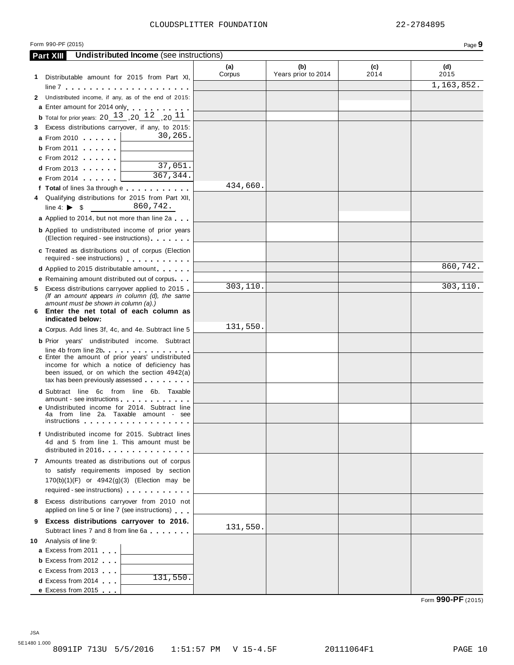#### Form 990-PF (2015) Page **9**

|    | <b>Undistributed Income</b> (see instructions)<br><b>Part XIII</b>                                                                                                                                                                                   |          |                     |      |            |
|----|------------------------------------------------------------------------------------------------------------------------------------------------------------------------------------------------------------------------------------------------------|----------|---------------------|------|------------|
|    |                                                                                                                                                                                                                                                      | (a)      | (b)                 | (c)  | (d)        |
|    | 1 Distributable amount for 2015 from Part XI,                                                                                                                                                                                                        | Corpus   | Years prior to 2014 | 2014 | 2015       |
|    |                                                                                                                                                                                                                                                      |          |                     |      | 1,163,852. |
|    | 2 Undistributed income, if any, as of the end of 2015:                                                                                                                                                                                               |          |                     |      |            |
|    | a Enter amount for 2014 only enterprise to the set of                                                                                                                                                                                                |          |                     |      |            |
|    | <b>b</b> Total for prior years: $20^{-13}$ , $20^{-12}$ , $20^{-11}$                                                                                                                                                                                 |          |                     |      |            |
| 3. | Excess distributions carryover, if any, to 2015:                                                                                                                                                                                                     |          |                     |      |            |
|    | 30,265.<br><b>a</b> From 2010                                                                                                                                                                                                                        |          |                     |      |            |
|    | <b>b</b> From 2011                                                                                                                                                                                                                                   |          |                     |      |            |
|    | <b>c</b> From 2012                                                                                                                                                                                                                                   |          |                     |      |            |
|    | 37,051.<br><b>d</b> From 2013 <b>and Street Street Street Street Street Street Street Street Street Street Street Street Street Street Street Street Street Street Street Street Street Street Street Street Street Street Street Street Street </b> |          |                     |      |            |
|    | 367,344.<br>e From 2014 <b>and Struth Property</b>                                                                                                                                                                                                   |          |                     |      |            |
|    | f Total of lines 3a through e                                                                                                                                                                                                                        | 434,660. |                     |      |            |
|    | 4 Qualifying distributions for 2015 from Part XII,                                                                                                                                                                                                   |          |                     |      |            |
|    | 860,742.<br>line 4: $\triangleright$ \$                                                                                                                                                                                                              |          |                     |      |            |
|    | a Applied to 2014, but not more than line 2a                                                                                                                                                                                                         |          |                     |      |            |
|    | <b>b</b> Applied to undistributed income of prior years                                                                                                                                                                                              |          |                     |      |            |
|    | (Election required - see instructions)                                                                                                                                                                                                               |          |                     |      |            |
|    | c Treated as distributions out of corpus (Election                                                                                                                                                                                                   |          |                     |      |            |
|    | required - see instructions)                                                                                                                                                                                                                         |          |                     |      |            |
|    | <b>d</b> Applied to 2015 distributable amount                                                                                                                                                                                                        |          |                     |      | 860,742.   |
|    | <b>e</b> Remaining amount distributed out of corpus                                                                                                                                                                                                  |          |                     |      |            |
|    | 5 Excess distributions carryover applied to 2015.                                                                                                                                                                                                    | 303,110. |                     |      | 303, 110.  |
|    | (If an amount appears in column (d), the same                                                                                                                                                                                                        |          |                     |      |            |
|    | amount must be shown in column (a).)<br>6 Enter the net total of each column as                                                                                                                                                                      |          |                     |      |            |
|    | indicated below:                                                                                                                                                                                                                                     |          |                     |      |            |
|    | <b>a</b> Corpus. Add lines 3f, 4c, and 4e. Subtract line 5                                                                                                                                                                                           | 131,550. |                     |      |            |
|    | <b>b</b> Prior years' undistributed income. Subtract                                                                                                                                                                                                 |          |                     |      |            |
|    | $line 4b$ from line $2b$                                                                                                                                                                                                                             |          |                     |      |            |
|    | c Enter the amount of prior years' undistributed                                                                                                                                                                                                     |          |                     |      |            |
|    | income for which a notice of deficiency has<br>been issued, or on which the section 4942(a)                                                                                                                                                          |          |                     |      |            |
|    | tax has been previously assessed                                                                                                                                                                                                                     |          |                     |      |            |
|    | <b>d</b> Subtract line 6c from line 6b. Taxable                                                                                                                                                                                                      |          |                     |      |            |
|    | amount - see instructions                                                                                                                                                                                                                            |          |                     |      |            |
|    | e Undistributed income for 2014. Subtract line<br>4a from line 2a. Taxable amount - see                                                                                                                                                              |          |                     |      |            |
|    | instructions                                                                                                                                                                                                                                         |          |                     |      |            |
|    | f Undistributed income for 2015. Subtract lines                                                                                                                                                                                                      |          |                     |      |            |
|    | 4d and 5 from line 1. This amount must be                                                                                                                                                                                                            |          |                     |      |            |
|    | distributed in 2016.                                                                                                                                                                                                                                 |          |                     |      |            |
|    | 7 Amounts treated as distributions out of corpus                                                                                                                                                                                                     |          |                     |      |            |
|    | to satisfy requirements imposed by section                                                                                                                                                                                                           |          |                     |      |            |
|    | $170(b)(1)(F)$ or $4942(g)(3)$ (Election may be                                                                                                                                                                                                      |          |                     |      |            |
|    | required - see instructions) example a series and the set of the set of the set of the set of the set of the set of the set of the set of the set of the set of the set of the set of the set of the set of the set of the set                       |          |                     |      |            |
|    | 8 Excess distributions carryover from 2010 not                                                                                                                                                                                                       |          |                     |      |            |
|    | applied on line 5 or line 7 (see instructions)                                                                                                                                                                                                       |          |                     |      |            |
| 9  | Excess distributions carryover to 2016.                                                                                                                                                                                                              | 131,550. |                     |      |            |
|    | Subtract lines 7 and 8 from line 6a                                                                                                                                                                                                                  |          |                     |      |            |
|    | 10 Analysis of line 9:                                                                                                                                                                                                                               |          |                     |      |            |
|    | a Excess from 2011                                                                                                                                                                                                                                   |          |                     |      |            |
|    | <b>b</b> Excess from 2012                                                                                                                                                                                                                            |          |                     |      |            |
|    | c Excess from 2013<br>131,550.                                                                                                                                                                                                                       |          |                     |      |            |
|    | <b>d</b> Excess from 2014                                                                                                                                                                                                                            |          |                     |      |            |
|    | e Excess from 2015                                                                                                                                                                                                                                   |          |                     |      |            |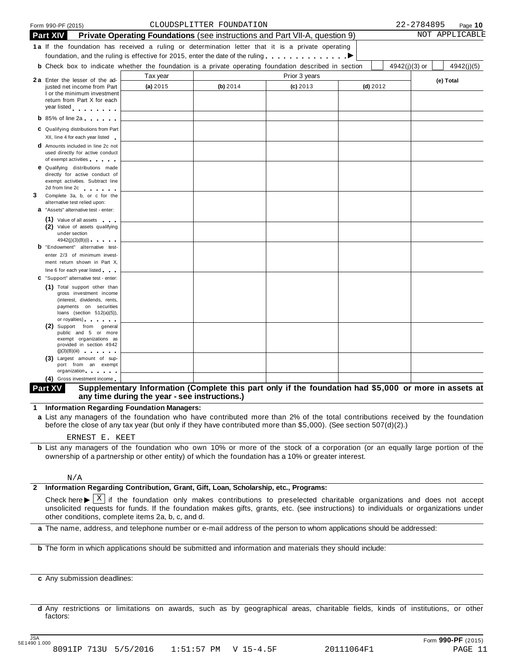|   | Form 990-PF (2015)                                                                                                                                                                                                             |                                                                             | CLOUDSPLITTER FOUNDATION |               |            |               | 22-2784895 | Page 10        |
|---|--------------------------------------------------------------------------------------------------------------------------------------------------------------------------------------------------------------------------------|-----------------------------------------------------------------------------|--------------------------|---------------|------------|---------------|------------|----------------|
|   | <b>Part XIV</b>                                                                                                                                                                                                                | Private Operating Foundations (see instructions and Part VII-A, question 9) |                          |               |            |               |            | NOT APPLICABLE |
|   | 1a If the foundation has received a ruling or determination letter that it is a private operating                                                                                                                              |                                                                             |                          |               |            |               |            |                |
|   | foundation, and the ruling is effective for 2015, enter the date of the ruling $\ldots \ldots \ldots$                                                                                                                          |                                                                             |                          |               |            |               |            |                |
|   | <b>b</b> Check box to indicate whether the foundation is a private operating foundation described in section                                                                                                                   |                                                                             |                          |               |            | 4942(j)(3) or |            | 4942(j)(5)     |
|   |                                                                                                                                                                                                                                | Tax year                                                                    |                          | Prior 3 years |            |               |            |                |
|   | <b>2a</b> Enter the lesser of the ad-<br>justed net income from Part                                                                                                                                                           | (a) 2015                                                                    | (b) 2014                 | $(c)$ 2013    | $(d)$ 2012 |               |            | (e) Total      |
|   | I or the minimum investment                                                                                                                                                                                                    |                                                                             |                          |               |            |               |            |                |
|   | return from Part X for each<br>year listed experience                                                                                                                                                                          |                                                                             |                          |               |            |               |            |                |
|   |                                                                                                                                                                                                                                |                                                                             |                          |               |            |               |            |                |
|   | $b$ 85% of line 2a                                                                                                                                                                                                             |                                                                             |                          |               |            |               |            |                |
|   | C Qualifying distributions from Part                                                                                                                                                                                           |                                                                             |                          |               |            |               |            |                |
|   | XII, line 4 for each year listed                                                                                                                                                                                               |                                                                             |                          |               |            |               |            |                |
|   | <b>d</b> Amounts included in line 2c not<br>used directly for active conduct                                                                                                                                                   |                                                                             |                          |               |            |               |            |                |
|   | of exempt activities                                                                                                                                                                                                           |                                                                             |                          |               |            |               |            |                |
|   | <b>e</b> Qualifying distributions made                                                                                                                                                                                         |                                                                             |                          |               |            |               |            |                |
|   | directly for active conduct of<br>exempt activities. Subtract line                                                                                                                                                             |                                                                             |                          |               |            |               |            |                |
|   | 2d from line 2c expansion of the same state of the state of the state of the state of the state of the state of the state of the state of the state of the state of the state of the state of the state of the state of the st |                                                                             |                          |               |            |               |            |                |
| 3 | Complete 3a, b, or c for the                                                                                                                                                                                                   |                                                                             |                          |               |            |               |            |                |
|   | alternative test relied upon:<br><b>a</b> "Assets" alternative test - enter:                                                                                                                                                   |                                                                             |                          |               |            |               |            |                |
|   | (1) Value of all assets                                                                                                                                                                                                        |                                                                             |                          |               |            |               |            |                |
|   | (2) Value of assets qualifying                                                                                                                                                                                                 |                                                                             |                          |               |            |               |            |                |
|   | under section                                                                                                                                                                                                                  |                                                                             |                          |               |            |               |            |                |
|   | 4942(j)(3)(B)(i)<br><b>b</b> "Endowment" alternative test-                                                                                                                                                                     |                                                                             |                          |               |            |               |            |                |
|   | enter 2/3 of minimum invest-                                                                                                                                                                                                   |                                                                             |                          |               |            |               |            |                |
|   | ment return shown in Part X,                                                                                                                                                                                                   |                                                                             |                          |               |            |               |            |                |
|   | line 6 for each year listed                                                                                                                                                                                                    |                                                                             |                          |               |            |               |            |                |
|   | C "Support" alternative test - enter:                                                                                                                                                                                          |                                                                             |                          |               |            |               |            |                |
|   | (1) Total support other than<br>gross investment income                                                                                                                                                                        |                                                                             |                          |               |            |               |            |                |
|   | (interest, dividends, rents,                                                                                                                                                                                                   |                                                                             |                          |               |            |               |            |                |
|   | payments on securities<br>loans (section $512(a)(5)$ ),                                                                                                                                                                        |                                                                             |                          |               |            |               |            |                |
|   | or royalties) and the control of                                                                                                                                                                                               |                                                                             |                          |               |            |               |            |                |
|   | (2) Support from general                                                                                                                                                                                                       |                                                                             |                          |               |            |               |            |                |
|   | public and 5 or more<br>exempt organizations as                                                                                                                                                                                |                                                                             |                          |               |            |               |            |                |
|   | provided in section 4942                                                                                                                                                                                                       |                                                                             |                          |               |            |               |            |                |
|   | (j)(3)(B)(iii)<br>(3) Largest amount of sup-                                                                                                                                                                                   |                                                                             |                          |               |            |               |            |                |
|   | port from an exempt                                                                                                                                                                                                            |                                                                             |                          |               |            |               |            |                |
|   | organization<br>$\sim$                                                                                                                                                                                                         |                                                                             |                          |               |            |               |            |                |

#### **(4)** Gross investment income m **Supplementary Information (Complete this part only if the foundation had \$5,000 or more in assets at any time during the year - see instructions.) Part XV**

**1 Information Regarding Foundation Managers:**

**a** List any managers of the foundation who have contributed more than 2% of the total contributions received by the foundation before the close of any tax year (but only if they have contributed more than \$5,000). (See section 507(d)(2).)

#### ERNEST E. KEET

**b** List any managers of the foundation who own 10% or more of the stock of a corporation (or an equally large portion of the ownership of a partnership or other entity) of which the foundation has a 10% or greater interest.

#### N/A

#### **2 Information Regarding Contribution, Grant, Gift, Loan, Scholarship, etc., Programs:**

Check here  $\blacktriangleright \overline{X}$  if the foundation only makes contributions to preselected charitable organizations and does not accept<br>unsolicited requests for funds. If the foundation makes gifts, grants, etc. (see instructions other conditions, complete items 2a, b, c, and d. X

**a** The name, address, and telephone number or e-mail address of the person to whom applications should be addressed:

**b** The form in which applications should be submitted and information and materials they should include:

**c** Any submission deadlines:

**d** Any restrictions or limitations on awards, such as by geographical areas, charitable fields, kinds of institutions, or other factors: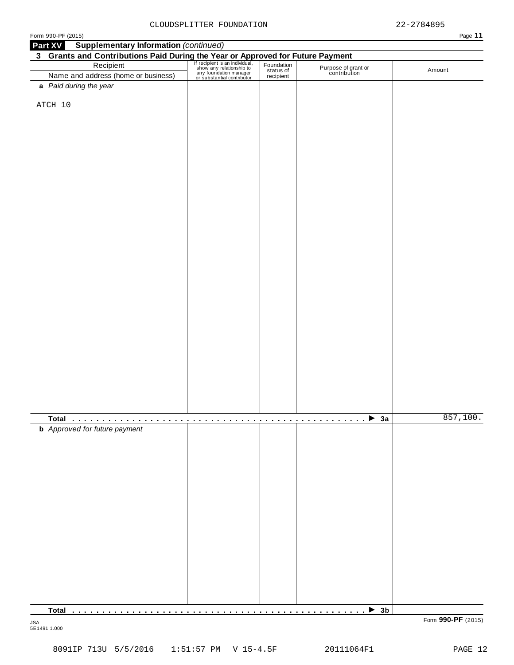| <b>Supplementary Information (continued)</b><br>Part XV                                                                                                                                                                                      |  |                                     |          |
|----------------------------------------------------------------------------------------------------------------------------------------------------------------------------------------------------------------------------------------------|--|-------------------------------------|----------|
|                                                                                                                                                                                                                                              |  |                                     |          |
| <b>3 Grants and Contributions Paid During the Year or Approved for Future Payment</b><br>Recipient Fection of the Contribution of the Contribution and address (home or business) <b>Exception Contribution</b><br>Name and address (home or |  |                                     |          |
|                                                                                                                                                                                                                                              |  | Purpose of grant or<br>contribution | Amount   |
|                                                                                                                                                                                                                                              |  |                                     |          |
| a Paid during the year                                                                                                                                                                                                                       |  |                                     |          |
|                                                                                                                                                                                                                                              |  |                                     |          |
| ATCH 10                                                                                                                                                                                                                                      |  |                                     |          |
|                                                                                                                                                                                                                                              |  |                                     |          |
|                                                                                                                                                                                                                                              |  |                                     |          |
|                                                                                                                                                                                                                                              |  |                                     |          |
|                                                                                                                                                                                                                                              |  |                                     |          |
|                                                                                                                                                                                                                                              |  |                                     |          |
|                                                                                                                                                                                                                                              |  |                                     |          |
|                                                                                                                                                                                                                                              |  |                                     |          |
|                                                                                                                                                                                                                                              |  |                                     |          |
|                                                                                                                                                                                                                                              |  |                                     |          |
|                                                                                                                                                                                                                                              |  |                                     |          |
|                                                                                                                                                                                                                                              |  |                                     |          |
|                                                                                                                                                                                                                                              |  |                                     |          |
|                                                                                                                                                                                                                                              |  |                                     |          |
|                                                                                                                                                                                                                                              |  |                                     |          |
|                                                                                                                                                                                                                                              |  |                                     |          |
|                                                                                                                                                                                                                                              |  |                                     |          |
|                                                                                                                                                                                                                                              |  |                                     |          |
|                                                                                                                                                                                                                                              |  |                                     |          |
|                                                                                                                                                                                                                                              |  |                                     |          |
|                                                                                                                                                                                                                                              |  |                                     |          |
|                                                                                                                                                                                                                                              |  |                                     |          |
|                                                                                                                                                                                                                                              |  |                                     |          |
|                                                                                                                                                                                                                                              |  |                                     |          |
|                                                                                                                                                                                                                                              |  |                                     |          |
|                                                                                                                                                                                                                                              |  |                                     |          |
|                                                                                                                                                                                                                                              |  |                                     |          |
|                                                                                                                                                                                                                                              |  |                                     |          |
|                                                                                                                                                                                                                                              |  |                                     |          |
|                                                                                                                                                                                                                                              |  |                                     |          |
|                                                                                                                                                                                                                                              |  |                                     |          |
|                                                                                                                                                                                                                                              |  |                                     |          |
|                                                                                                                                                                                                                                              |  |                                     |          |
|                                                                                                                                                                                                                                              |  |                                     |          |
|                                                                                                                                                                                                                                              |  |                                     |          |
|                                                                                                                                                                                                                                              |  |                                     |          |
|                                                                                                                                                                                                                                              |  |                                     |          |
|                                                                                                                                                                                                                                              |  |                                     | 857,100. |
| <b>b</b> Approved for future payment                                                                                                                                                                                                         |  |                                     |          |
|                                                                                                                                                                                                                                              |  |                                     |          |
|                                                                                                                                                                                                                                              |  |                                     |          |
|                                                                                                                                                                                                                                              |  |                                     |          |
|                                                                                                                                                                                                                                              |  |                                     |          |
|                                                                                                                                                                                                                                              |  |                                     |          |
|                                                                                                                                                                                                                                              |  |                                     |          |
|                                                                                                                                                                                                                                              |  |                                     |          |
|                                                                                                                                                                                                                                              |  |                                     |          |
|                                                                                                                                                                                                                                              |  |                                     |          |
|                                                                                                                                                                                                                                              |  |                                     |          |
|                                                                                                                                                                                                                                              |  |                                     |          |
|                                                                                                                                                                                                                                              |  |                                     |          |
|                                                                                                                                                                                                                                              |  |                                     |          |
|                                                                                                                                                                                                                                              |  |                                     |          |
|                                                                                                                                                                                                                                              |  |                                     |          |
|                                                                                                                                                                                                                                              |  |                                     |          |
|                                                                                                                                                                                                                                              |  |                                     |          |
|                                                                                                                                                                                                                                              |  |                                     |          |
|                                                                                                                                                                                                                                              |  |                                     |          |
|                                                                                                                                                                                                                                              |  |                                     |          |
|                                                                                                                                                                                                                                              |  |                                     |          |
| <b>Total</b>                                                                                                                                                                                                                                 |  | $\rightarrow$ 3b                    |          |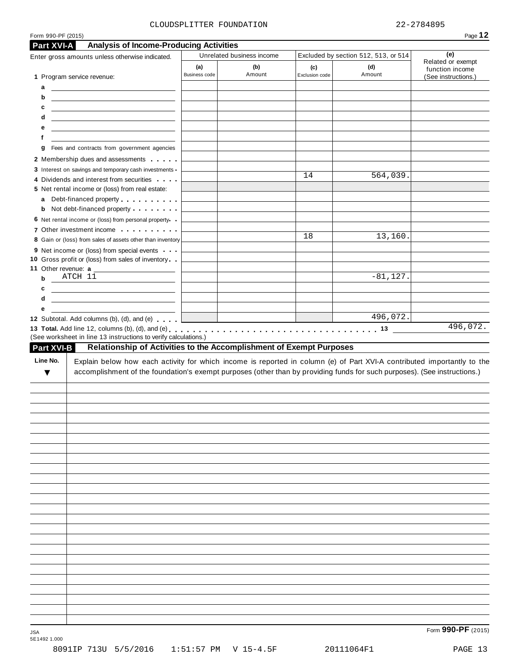#### CLOUDSPLITTER FOUNDATION 22-2784895

| Part XVI-A                                                                                                                                                                                                                                | <b>Analysis of Income-Producing Activities</b><br>Enter gross amounts unless otherwise indicated.                                                                                                                                                                                                               |               | Unrelated business income |                | Excluded by section 512, 513, or 514 | (e)                                  |
|-------------------------------------------------------------------------------------------------------------------------------------------------------------------------------------------------------------------------------------------|-----------------------------------------------------------------------------------------------------------------------------------------------------------------------------------------------------------------------------------------------------------------------------------------------------------------|---------------|---------------------------|----------------|--------------------------------------|--------------------------------------|
|                                                                                                                                                                                                                                           |                                                                                                                                                                                                                                                                                                                 | (a)           | (b)                       | (c)            | (d)                                  | Related or exempt<br>function income |
| 1 Program service revenue:                                                                                                                                                                                                                |                                                                                                                                                                                                                                                                                                                 | Business code | Amount                    | Exclusion code | Amount                               | (See instructions.)                  |
| a<br><u>and the company of the company of the company of the company of the company of the company of the company of the company of the company of the company of the company of the company of the company of the company of the com</u> |                                                                                                                                                                                                                                                                                                                 |               |                           |                |                                      |                                      |
| b                                                                                                                                                                                                                                         | <u>and the state of the state of the state of the state of the state of the state of the state of the state of the state of the state of the state of the state of the state of the state of the state of the state of the state</u>                                                                            |               |                           |                |                                      |                                      |
| c                                                                                                                                                                                                                                         | <u> 1980 - John Harry Harry Harry Harry Harry Harry Harry Harry Harry Harry Harry Harry Harry Harry Harry Harry H</u>                                                                                                                                                                                           |               |                           |                |                                      |                                      |
| d                                                                                                                                                                                                                                         | <u> 1989 - John Harry Harry Harry Harry Harry Harry Harry Harry Harry Harry Harry Harry Harry Harry Harry Harry</u>                                                                                                                                                                                             |               |                           |                |                                      |                                      |
| е                                                                                                                                                                                                                                         | <u> 1989 - Johann John Stone, markin f</u>                                                                                                                                                                                                                                                                      |               |                           |                |                                      |                                      |
| f                                                                                                                                                                                                                                         |                                                                                                                                                                                                                                                                                                                 |               |                           |                |                                      |                                      |
| g                                                                                                                                                                                                                                         | Fees and contracts from government agencies                                                                                                                                                                                                                                                                     |               |                           |                |                                      |                                      |
|                                                                                                                                                                                                                                           | 2 Membership dues and assessments                                                                                                                                                                                                                                                                               |               |                           |                |                                      |                                      |
|                                                                                                                                                                                                                                           | 3 Interest on savings and temporary cash investments -                                                                                                                                                                                                                                                          |               |                           |                |                                      |                                      |
|                                                                                                                                                                                                                                           | 4 Dividends and interest from securities                                                                                                                                                                                                                                                                        |               |                           | 14             | 564,039.                             |                                      |
|                                                                                                                                                                                                                                           | 5 Net rental income or (loss) from real estate:                                                                                                                                                                                                                                                                 |               |                           |                |                                      |                                      |
| a                                                                                                                                                                                                                                         | Debt-financed property entering the state of                                                                                                                                                                                                                                                                    |               |                           |                |                                      |                                      |
| b                                                                                                                                                                                                                                         | Not debt-financed property                                                                                                                                                                                                                                                                                      |               |                           |                |                                      |                                      |
|                                                                                                                                                                                                                                           | 6 Net rental income or (loss) from personal property                                                                                                                                                                                                                                                            |               |                           |                |                                      |                                      |
|                                                                                                                                                                                                                                           | 7 Other investment income                                                                                                                                                                                                                                                                                       |               |                           | 18             | 13,160.                              |                                      |
|                                                                                                                                                                                                                                           | 8 Gain or (loss) from sales of assets other than inventory                                                                                                                                                                                                                                                      |               |                           |                |                                      |                                      |
|                                                                                                                                                                                                                                           | 9 Net income or (loss) from special events                                                                                                                                                                                                                                                                      |               |                           |                |                                      |                                      |
| 11 Other revenue: a                                                                                                                                                                                                                       | 10 Gross profit or (loss) from sales of inventory                                                                                                                                                                                                                                                               |               |                           |                |                                      |                                      |
| $ATCH$ 11<br>$\mathbf b$                                                                                                                                                                                                                  |                                                                                                                                                                                                                                                                                                                 |               |                           |                | $-81, 127.$                          |                                      |
| c                                                                                                                                                                                                                                         | the control of the control of the control of<br><u> 1989 - John Harry Harry Harry Harry Harry Harry Harry Harry Harry Harry Harry Harry Harry Harry Harry Harry</u>                                                                                                                                             |               |                           |                |                                      |                                      |
| d                                                                                                                                                                                                                                         | <u> 1989 - Johann Barbara, martin da basar a</u>                                                                                                                                                                                                                                                                |               |                           |                |                                      |                                      |
|                                                                                                                                                                                                                                           |                                                                                                                                                                                                                                                                                                                 |               |                           |                |                                      |                                      |
|                                                                                                                                                                                                                                           |                                                                                                                                                                                                                                                                                                                 |               |                           |                |                                      |                                      |
| е                                                                                                                                                                                                                                         |                                                                                                                                                                                                                                                                                                                 |               |                           |                | 496,072.                             |                                      |
| Part XVI-B<br>Line No.                                                                                                                                                                                                                    | 12 Subtotal. Add columns (b), (d), and (e)<br>(See worksheet in line 13 instructions to verify calculations.)<br>Relationship of Activities to the Accomplishment of Exempt Purposes<br>Explain below how each activity for which income is reported in column (e) of Part XVI-A contributed importantly to the |               |                           |                |                                      |                                      |
| ▼                                                                                                                                                                                                                                         | accomplishment of the foundation's exempt purposes (other than by providing funds for such purposes). (See instructions.)                                                                                                                                                                                       |               |                           |                |                                      | 496,072.                             |
|                                                                                                                                                                                                                                           |                                                                                                                                                                                                                                                                                                                 |               |                           |                |                                      |                                      |
|                                                                                                                                                                                                                                           |                                                                                                                                                                                                                                                                                                                 |               |                           |                |                                      |                                      |
|                                                                                                                                                                                                                                           |                                                                                                                                                                                                                                                                                                                 |               |                           |                |                                      |                                      |
|                                                                                                                                                                                                                                           |                                                                                                                                                                                                                                                                                                                 |               |                           |                |                                      |                                      |
|                                                                                                                                                                                                                                           |                                                                                                                                                                                                                                                                                                                 |               |                           |                |                                      |                                      |
|                                                                                                                                                                                                                                           |                                                                                                                                                                                                                                                                                                                 |               |                           |                |                                      |                                      |
|                                                                                                                                                                                                                                           |                                                                                                                                                                                                                                                                                                                 |               |                           |                |                                      |                                      |
|                                                                                                                                                                                                                                           |                                                                                                                                                                                                                                                                                                                 |               |                           |                |                                      |                                      |
|                                                                                                                                                                                                                                           |                                                                                                                                                                                                                                                                                                                 |               |                           |                |                                      |                                      |
|                                                                                                                                                                                                                                           |                                                                                                                                                                                                                                                                                                                 |               |                           |                |                                      |                                      |
|                                                                                                                                                                                                                                           |                                                                                                                                                                                                                                                                                                                 |               |                           |                |                                      |                                      |
|                                                                                                                                                                                                                                           |                                                                                                                                                                                                                                                                                                                 |               |                           |                |                                      |                                      |
|                                                                                                                                                                                                                                           |                                                                                                                                                                                                                                                                                                                 |               |                           |                |                                      |                                      |
|                                                                                                                                                                                                                                           |                                                                                                                                                                                                                                                                                                                 |               |                           |                |                                      |                                      |
|                                                                                                                                                                                                                                           |                                                                                                                                                                                                                                                                                                                 |               |                           |                |                                      |                                      |
|                                                                                                                                                                                                                                           |                                                                                                                                                                                                                                                                                                                 |               |                           |                |                                      |                                      |
|                                                                                                                                                                                                                                           |                                                                                                                                                                                                                                                                                                                 |               |                           |                |                                      |                                      |
|                                                                                                                                                                                                                                           |                                                                                                                                                                                                                                                                                                                 |               |                           |                |                                      |                                      |
|                                                                                                                                                                                                                                           |                                                                                                                                                                                                                                                                                                                 |               |                           |                |                                      |                                      |
|                                                                                                                                                                                                                                           |                                                                                                                                                                                                                                                                                                                 |               |                           |                |                                      |                                      |
|                                                                                                                                                                                                                                           |                                                                                                                                                                                                                                                                                                                 |               |                           |                |                                      |                                      |
|                                                                                                                                                                                                                                           |                                                                                                                                                                                                                                                                                                                 |               |                           |                |                                      |                                      |

8091IP 713U 5/5/2016 1:51:57 PM V 15-4.5F 20111064F1 PAGE 13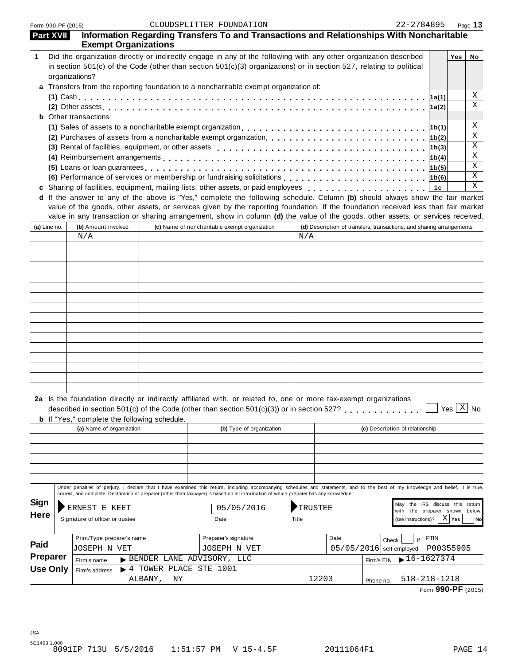| <b>Part XVII</b> |                                                                                                                                                                                                                                                                                                                                                       | <b>Exempt Organizations</b>                         |               | Information Regarding Transfers To and Transactions and Relationships With Noncharitable                                                                                                                                                                             |       |         |      |                                                                      |             |                                         |                            |
|------------------|-------------------------------------------------------------------------------------------------------------------------------------------------------------------------------------------------------------------------------------------------------------------------------------------------------------------------------------------------------|-----------------------------------------------------|---------------|----------------------------------------------------------------------------------------------------------------------------------------------------------------------------------------------------------------------------------------------------------------------|-------|---------|------|----------------------------------------------------------------------|-------------|-----------------------------------------|----------------------------|
| 1                | Did the organization directly or indirectly engage in any of the following with any other organization described<br>in section $501(c)$ of the Code (other than section $501(c)(3)$ organizations) or in section 527, relating to political<br>organizations?<br>a Transfers from the reporting foundation to a noncharitable exempt organization of: |                                                     |               |                                                                                                                                                                                                                                                                      |       |         |      | Yes                                                                  | No          |                                         |                            |
|                  |                                                                                                                                                                                                                                                                                                                                                       |                                                     |               |                                                                                                                                                                                                                                                                      |       |         |      |                                                                      | 1a(1)       |                                         | Χ                          |
|                  |                                                                                                                                                                                                                                                                                                                                                       |                                                     |               |                                                                                                                                                                                                                                                                      |       |         |      |                                                                      | 1a(2)       |                                         | X                          |
|                  |                                                                                                                                                                                                                                                                                                                                                       | <b>b</b> Other transactions:                        |               |                                                                                                                                                                                                                                                                      |       |         |      |                                                                      |             |                                         |                            |
|                  |                                                                                                                                                                                                                                                                                                                                                       |                                                     |               |                                                                                                                                                                                                                                                                      |       |         |      |                                                                      | 1b(1)       |                                         | Χ                          |
|                  |                                                                                                                                                                                                                                                                                                                                                       |                                                     |               |                                                                                                                                                                                                                                                                      |       |         |      |                                                                      | 1b(2)       |                                         | Χ                          |
|                  |                                                                                                                                                                                                                                                                                                                                                       |                                                     |               |                                                                                                                                                                                                                                                                      |       |         |      |                                                                      | 1b(3)       |                                         | Χ                          |
|                  |                                                                                                                                                                                                                                                                                                                                                       |                                                     |               |                                                                                                                                                                                                                                                                      |       |         |      |                                                                      | 1b(4)       |                                         | $\mathbf X$                |
|                  |                                                                                                                                                                                                                                                                                                                                                       |                                                     |               |                                                                                                                                                                                                                                                                      |       |         |      |                                                                      | 1b(5)       |                                         | $\mathbf X$<br>$\mathbf X$ |
|                  |                                                                                                                                                                                                                                                                                                                                                       |                                                     |               |                                                                                                                                                                                                                                                                      |       |         |      |                                                                      |             |                                         | X                          |
|                  |                                                                                                                                                                                                                                                                                                                                                       |                                                     |               | c Sharing of facilities, equipment, mailing lists, other assets, or paid employees<br>d If the answer to any of the above is "Yes," complete the following schedule. Column (b) should always show the fair market                                                   |       |         |      |                                                                      | 1c          |                                         |                            |
|                  |                                                                                                                                                                                                                                                                                                                                                       |                                                     |               | value of the goods, other assets, or services given by the reporting foundation. If the foundation received less than fair market<br>value in any transaction or sharing arrangement, show in column (d) the value of the goods, other assets, or services received. |       |         |      |                                                                      |             |                                         |                            |
| (a) Line no.     |                                                                                                                                                                                                                                                                                                                                                       | (b) Amount involved                                 |               | (c) Name of noncharitable exempt organization                                                                                                                                                                                                                        |       |         |      | (d) Description of transfers, transactions, and sharing arrangements |             |                                         |                            |
|                  |                                                                                                                                                                                                                                                                                                                                                       | N/A                                                 |               |                                                                                                                                                                                                                                                                      |       | N/A     |      |                                                                      |             |                                         |                            |
|                  |                                                                                                                                                                                                                                                                                                                                                       |                                                     |               |                                                                                                                                                                                                                                                                      |       |         |      |                                                                      |             |                                         |                            |
|                  |                                                                                                                                                                                                                                                                                                                                                       |                                                     |               |                                                                                                                                                                                                                                                                      |       |         |      |                                                                      |             |                                         |                            |
|                  |                                                                                                                                                                                                                                                                                                                                                       |                                                     |               |                                                                                                                                                                                                                                                                      |       |         |      |                                                                      |             |                                         |                            |
|                  |                                                                                                                                                                                                                                                                                                                                                       |                                                     |               |                                                                                                                                                                                                                                                                      |       |         |      |                                                                      |             |                                         |                            |
|                  |                                                                                                                                                                                                                                                                                                                                                       |                                                     |               |                                                                                                                                                                                                                                                                      |       |         |      |                                                                      |             |                                         |                            |
|                  |                                                                                                                                                                                                                                                                                                                                                       |                                                     |               |                                                                                                                                                                                                                                                                      |       |         |      |                                                                      |             |                                         |                            |
|                  |                                                                                                                                                                                                                                                                                                                                                       |                                                     |               |                                                                                                                                                                                                                                                                      |       |         |      |                                                                      |             |                                         |                            |
|                  |                                                                                                                                                                                                                                                                                                                                                       |                                                     |               |                                                                                                                                                                                                                                                                      |       |         |      |                                                                      |             |                                         |                            |
|                  |                                                                                                                                                                                                                                                                                                                                                       |                                                     |               |                                                                                                                                                                                                                                                                      |       |         |      |                                                                      |             |                                         |                            |
|                  |                                                                                                                                                                                                                                                                                                                                                       |                                                     |               |                                                                                                                                                                                                                                                                      |       |         |      |                                                                      |             |                                         |                            |
|                  |                                                                                                                                                                                                                                                                                                                                                       |                                                     |               |                                                                                                                                                                                                                                                                      |       |         |      |                                                                      |             |                                         |                            |
|                  |                                                                                                                                                                                                                                                                                                                                                       |                                                     |               |                                                                                                                                                                                                                                                                      |       |         |      |                                                                      |             |                                         |                            |
|                  |                                                                                                                                                                                                                                                                                                                                                       |                                                     |               |                                                                                                                                                                                                                                                                      |       |         |      |                                                                      |             |                                         |                            |
|                  |                                                                                                                                                                                                                                                                                                                                                       | <b>b</b> If "Yes," complete the following schedule. |               | 2a Is the foundation directly or indirectly affiliated with, or related to, one or more tax-exempt organizations<br>described in section $501(c)$ of the Code (other than section $501(c)(3)$ ) or in section 527?                                                   |       |         |      |                                                                      |             | $\frac{1}{2}$ Yes $\boxed{\text{X}}$ No |                            |
|                  |                                                                                                                                                                                                                                                                                                                                                       | (a) Name of organization                            |               | (b) Type of organization                                                                                                                                                                                                                                             |       |         |      | (c) Description of relationship                                      |             |                                         |                            |
|                  |                                                                                                                                                                                                                                                                                                                                                       |                                                     |               |                                                                                                                                                                                                                                                                      |       |         |      |                                                                      |             |                                         |                            |
|                  |                                                                                                                                                                                                                                                                                                                                                       |                                                     |               |                                                                                                                                                                                                                                                                      |       |         |      |                                                                      |             |                                         |                            |
|                  |                                                                                                                                                                                                                                                                                                                                                       |                                                     |               | Under penalties of perjury, I declare that I have examined this return, including accompanying schedules and statements, and to the best of my knowledge and belief, it is true,                                                                                     |       |         |      |                                                                      |             |                                         |                            |
|                  |                                                                                                                                                                                                                                                                                                                                                       |                                                     |               | correct, and complete. Declaration of preparer (other than taxpayer) is based on all information of which preparer has any knowledge.                                                                                                                                |       |         |      |                                                                      |             |                                         |                            |
| Sign             |                                                                                                                                                                                                                                                                                                                                                       | ERNEST E KEET                                       |               | 05/05/2016                                                                                                                                                                                                                                                           |       | TRUSTEE |      | May the IRS discuss this return<br>the preparer shown below<br>with  |             |                                         |                            |
| <b>Here</b>      |                                                                                                                                                                                                                                                                                                                                                       | Signature of officer or trustee                     |               | Date                                                                                                                                                                                                                                                                 | Title |         |      | (see instructions)?                                                  |             | $X \mid$ Yes                            | <b>No</b>                  |
|                  |                                                                                                                                                                                                                                                                                                                                                       | Print/Type preparer's name                          |               | Preparer's signature                                                                                                                                                                                                                                                 |       |         | Date | if                                                                   | <b>PTIN</b> |                                         |                            |
| Paid             |                                                                                                                                                                                                                                                                                                                                                       | JOSEPH N VET                                        |               | JOSEPH N VET                                                                                                                                                                                                                                                         |       |         |      | Check<br>$05/05/2016$ self-employed                                  | P00355905   |                                         |                            |
| Preparer         |                                                                                                                                                                                                                                                                                                                                                       | Firm's name                                         |               | BENDER LANE ADVISORY, LLC                                                                                                                                                                                                                                            |       |         |      | $16 - 1627374$<br>Firm's EIN                                         |             |                                         |                            |
| <b>Use Only</b>  |                                                                                                                                                                                                                                                                                                                                                       | Firm's address                                      |               | > 4 TOWER PLACE STE 1001                                                                                                                                                                                                                                             |       |         |      |                                                                      |             |                                         |                            |
|                  |                                                                                                                                                                                                                                                                                                                                                       |                                                     | ALBANY,<br>ΝY |                                                                                                                                                                                                                                                                      |       | 12203   |      | $518 - 218 - 1218$<br>Phone no                                       |             |                                         |                            |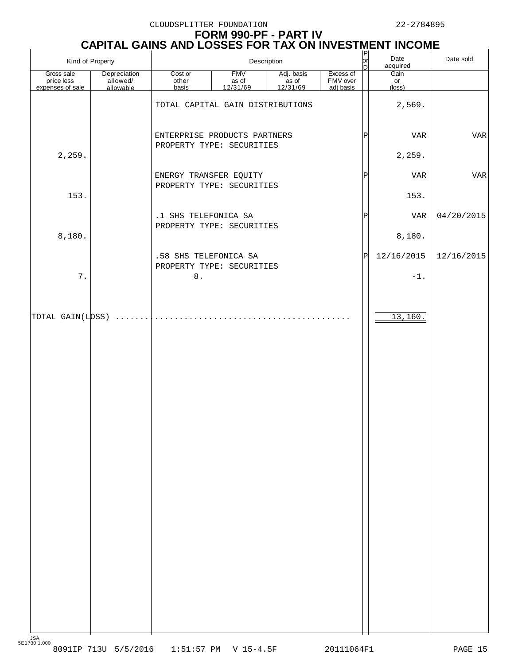CLOUDSPLITTER FOUNDATION 22-2784895

# **FORM 990-PF - PART IV CAPITAL GAINS AND LOSSES FOR TAX ON INVESTMENT INCOME**

|                                              | Kind of Property                      |                                                     | Description                                 |                                | $\frac{P}{P}$                      | Date<br>acquired  | Date sold            |            |
|----------------------------------------------|---------------------------------------|-----------------------------------------------------|---------------------------------------------|--------------------------------|------------------------------------|-------------------|----------------------|------------|
| Gross sale<br>price less<br>expenses of sale | Depreciation<br>allowed/<br>allowable | Cost or<br>other<br>basis                           | <b>FMV</b><br>as of<br>$\frac{12/31/69}{2}$ | Adj. basis<br>$rac{12}{31/69}$ | Excess of<br>FMV over<br>adj basis |                   | Gain<br>or<br>(loss) |            |
|                                              |                                       | TOTAL CAPITAL GAIN DISTRIBUTIONS                    |                                             |                                |                                    |                   | 2,569.               |            |
|                                              |                                       | ENTERPRISE PRODUCTS PARTNERS                        |                                             |                                |                                    | $\mathsf{P}\vert$ | VAR                  | VAR        |
| 2,259.                                       |                                       | PROPERTY TYPE: SECURITIES                           |                                             |                                |                                    |                   | 2,259.               |            |
|                                              |                                       | ENERGY TRANSFER EQUITY<br>PROPERTY TYPE: SECURITIES |                                             |                                |                                    | $\mathsf P$       | VAR                  | VAR        |
| 153.                                         |                                       |                                                     |                                             |                                |                                    |                   | 153.                 |            |
|                                              |                                       | .1 SHS TELEFONICA SA<br>PROPERTY TYPE: SECURITIES   |                                             |                                |                                    | $\mathsf{P}\vert$ | VAR                  | 04/20/2015 |
| 8,180.                                       |                                       |                                                     |                                             |                                |                                    |                   | 8,180.               |            |
|                                              |                                       | .58 SHS TELEFONICA SA<br>PROPERTY TYPE: SECURITIES  |                                             |                                |                                    | P                 | 12/16/2015           | 12/16/2015 |
| 7.                                           |                                       | $8$ .                                               |                                             |                                |                                    |                   | $-1.$                |            |
|                                              |                                       |                                                     |                                             |                                |                                    |                   |                      |            |
| TOTAL GAIN(LOSS)                             | . 1                                   |                                                     |                                             |                                |                                    |                   | 13,160.              |            |
|                                              |                                       |                                                     |                                             |                                |                                    |                   |                      |            |
|                                              |                                       |                                                     |                                             |                                |                                    |                   |                      |            |
|                                              |                                       |                                                     |                                             |                                |                                    |                   |                      |            |
|                                              |                                       |                                                     |                                             |                                |                                    |                   |                      |            |
|                                              |                                       |                                                     |                                             |                                |                                    |                   |                      |            |
|                                              |                                       |                                                     |                                             |                                |                                    |                   |                      |            |
|                                              |                                       |                                                     |                                             |                                |                                    |                   |                      |            |
|                                              |                                       |                                                     |                                             |                                |                                    |                   |                      |            |
|                                              |                                       |                                                     |                                             |                                |                                    |                   |                      |            |
|                                              |                                       |                                                     |                                             |                                |                                    |                   |                      |            |
|                                              |                                       |                                                     |                                             |                                |                                    |                   |                      |            |
|                                              |                                       |                                                     |                                             |                                |                                    |                   |                      |            |
|                                              |                                       |                                                     |                                             |                                |                                    |                   |                      |            |
|                                              |                                       |                                                     |                                             |                                |                                    |                   |                      |            |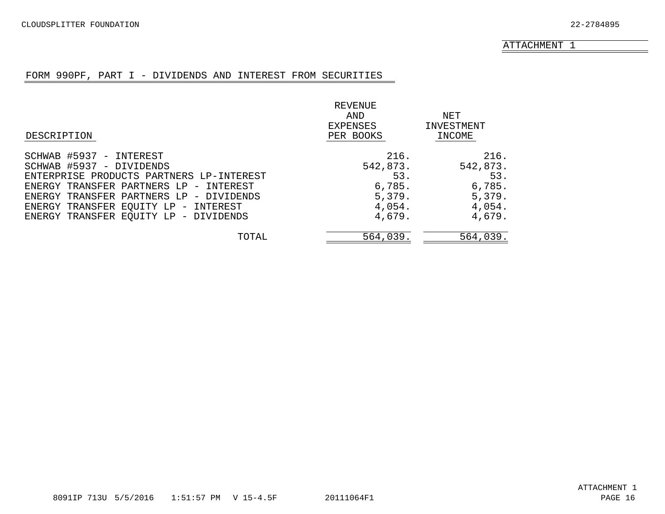#### FORM 990PF, PART I - DIVIDENDS AND INTEREST FROM SECURITIES

<span id="page-14-0"></span>

|                                          | REVENUE   |            |
|------------------------------------------|-----------|------------|
|                                          | AND       | NET        |
|                                          | EXPENSES  | INVESTMENT |
| DESCRIPTION                              | PER BOOKS | INCOME     |
| SCHWAB #5937 - INTEREST                  | 216.      | 216.       |
| SCHWAB #5937 - DIVIDENDS                 | 542,873.  | 542,873.   |
| ENTERPRISE PRODUCTS PARTNERS LP-INTEREST | 53.       | 53.        |
| ENERGY TRANSFER PARTNERS LP - INTEREST   | 6,785.    | 6,785.     |
| ENERGY TRANSFER PARTNERS LP - DIVIDENDS  | 5,379.    | 5,379.     |
| ENERGY TRANSFER EQUITY LP - INTEREST     | 4,054.    | 4,054.     |
| ENERGY TRANSFER EQUITY LP - DIVIDENDS    | 4,679.    | 4,679.     |
| TOTAL                                    | 564,039.  | 564,039.   |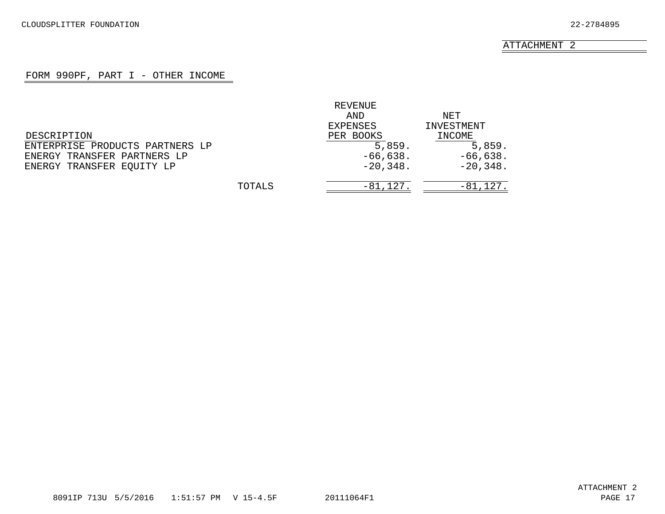## FORM 990PF, PART I - OTHER INCOME

<span id="page-15-0"></span>

|                                 |        | REVENUE         |             |
|---------------------------------|--------|-----------------|-------------|
|                                 |        | AND             | NET         |
|                                 |        | <b>EXPENSES</b> | INVESTMENT  |
| DESCRIPTION                     |        | PER BOOKS       | INCOME      |
| ENTERPRISE PRODUCTS PARTNERS LP |        | 5,859.          | 5,859.      |
| ENERGY TRANSFER PARTNERS LP     |        | $-66,638.$      | $-66,638.$  |
| ENERGY TRANSFER EQUITY LP       |        | $-20,348.$      | $-20,348.$  |
|                                 | TOTALS | $-81,127.$      | $-81,127$ . |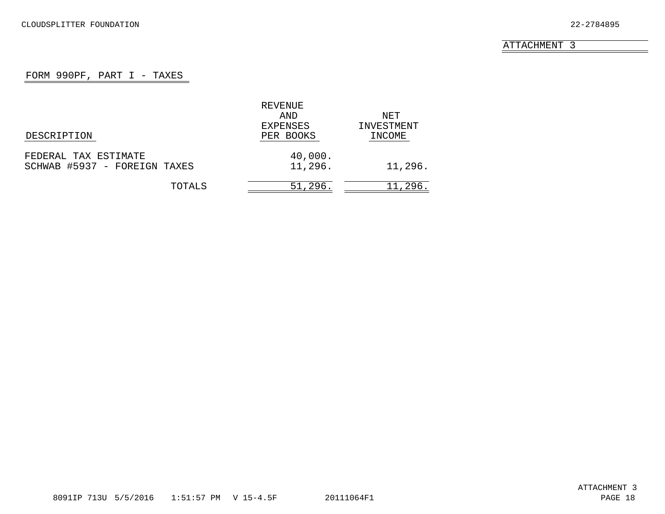# FORM 990PF, PART  $I$  - TAXES

<span id="page-16-0"></span>

|                              | REVENUE   |            |
|------------------------------|-----------|------------|
|                              | AND       | NET        |
|                              | EXPENSES  | INVESTMENT |
| DESCRIPTION                  | PER BOOKS | INCOME     |
| FEDERAL TAX ESTIMATE         | 40,000.   |            |
| SCHWAB #5937 - FOREIGN TAXES | 11,296.   | 11,296.    |
| TOTALS                       | 51,296.   | 11,296.    |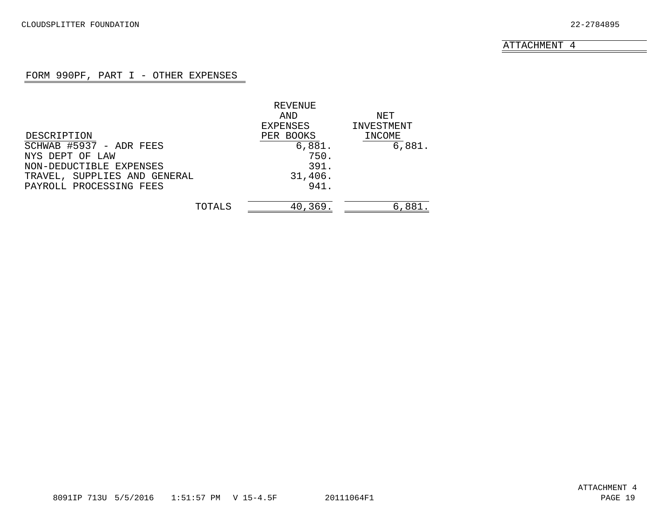# FORM 990PF, PART I - OTHER EXPENSES

<span id="page-17-0"></span>

|                              | REVENUE   |            |
|------------------------------|-----------|------------|
|                              | AND       | NET        |
|                              | EXPENSES  | INVESTMENT |
| DESCRIPTION                  | PER BOOKS | INCOME     |
| SCHWAB #5937 - ADR FEES      | 6,881.    | 6,881.     |
| NYS DEPT OF LAW              | 750.      |            |
| NON-DEDUCTIBLE EXPENSES      | 391.      |            |
| TRAVEL, SUPPLIES AND GENERAL | 31,406.   |            |
| PAYROLL PROCESSING FEES      | 941.      |            |
| TOTALS                       | 40,369.   | 6,881.     |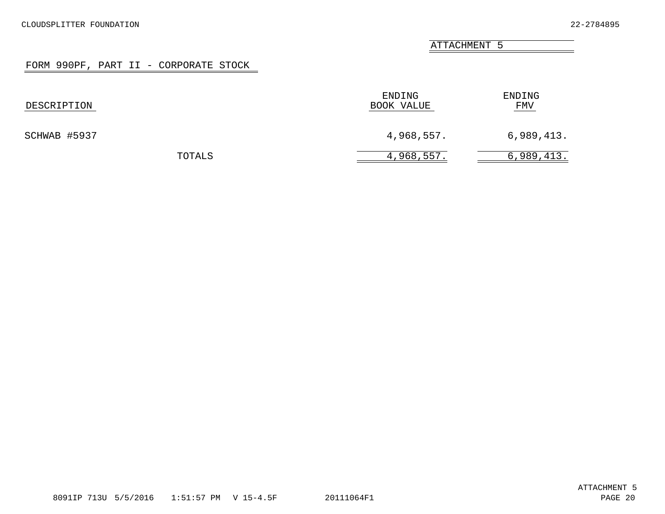# FORM 990PF, PART II - CORPORATE STOCK

<span id="page-18-0"></span>

| DESCRIPTION  | ENDING<br>BOOK VALUE | ENDING<br><u>FMV</u> |
|--------------|----------------------|----------------------|
| SCHWAB #5937 | 4,968,557.           | 6,989,413.           |
| TOTALS       | 4,968,557.           | 6,989,413.           |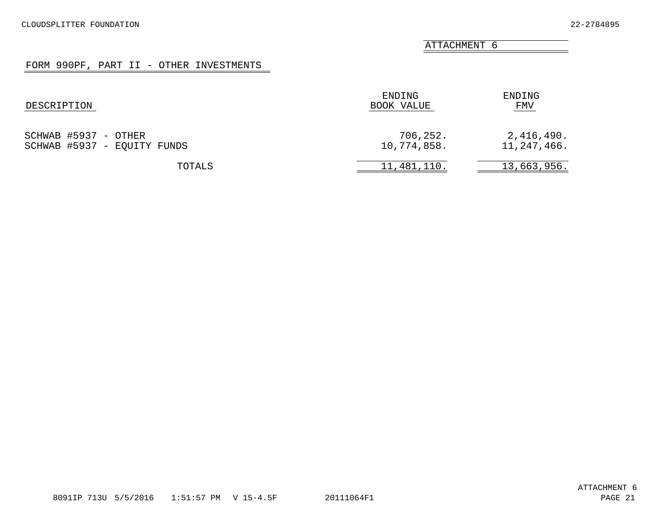# FORM 990PF, PART II - OTHER INVESTMENTS

<span id="page-19-0"></span>

| DESCRIPTION                                         | ENDING<br>BOOK VALUE    | ENDING<br>FMV             |
|-----------------------------------------------------|-------------------------|---------------------------|
| SCHWAB #5937 - OTHER<br>SCHWAB #5937 - EQUITY FUNDS | 706,252.<br>10,774,858. | 2,416,490.<br>11,247,466. |
| TOTALS                                              | 11,481,110.             | 13,663,956.               |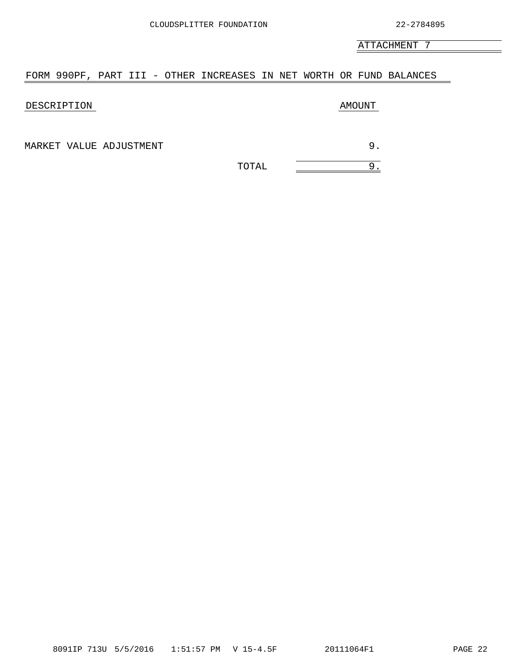#### <span id="page-20-0"></span>FORM 990PF, PART III - OTHER INCREASES IN NET WORTH OR FUND BALANCES

#### DESCRIPTION AMOUNT

MARKET VALUE ADJUSTMENT 3.

TOTAL <u>Internative state</u>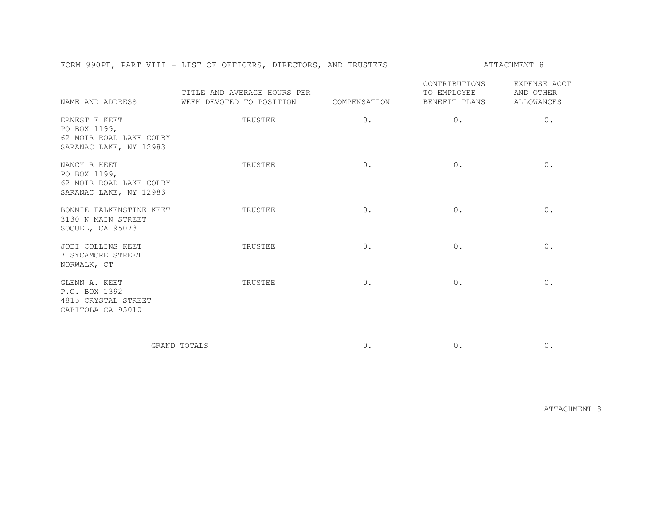#### FORM 990PF, PART VIII - LIST OF OFFICERS, DIRECTORS, AND TRUSTEES ATTACHMENT 8

| NAME AND ADDRESS                                                                   | TITLE AND AVERAGE HOURS PER<br>WEEK DEVOTED TO POSITION | COMPENSATION | CONTRIBUTIONS<br>TO EMPLOYEE<br>BENEFIT PLANS | EXPENSE ACCT<br>AND OTHER<br><b>ALLOWANCES</b> |
|------------------------------------------------------------------------------------|---------------------------------------------------------|--------------|-----------------------------------------------|------------------------------------------------|
| ERNEST E KEET<br>PO BOX 1199,<br>62 MOIR ROAD LAKE COLBY<br>SARANAC LAKE, NY 12983 | TRUSTEE                                                 | $0$ .        | 0.                                            | $0$ .                                          |
| NANCY R KEET<br>PO BOX 1199,<br>62 MOIR ROAD LAKE COLBY<br>SARANAC LAKE, NY 12983  | TRUSTEE                                                 | 0.           | 0.                                            | 0.                                             |
| BONNIE FALKENSTINE KEET<br>3130 N MAIN STREET<br>SOOUEL, CA 95073                  | TRUSTEE                                                 | $0$ .        | $0$ .                                         | 0.                                             |
| JODI COLLINS KEET<br>7 SYCAMORE STREET<br>NORWALK, CT                              | TRUSTEE                                                 | $0$ .        | $0$ .                                         | 0.                                             |
| GLENN A. KEET<br>P.O. BOX 1392<br>4815 CRYSTAL STREET<br>CAPITOLA CA 95010         | TRUSTEE                                                 | $0$ .        | $0$ .                                         | $0$ .                                          |

GRAND TOTALS 0. 0. 0.

ATTACHMENT 8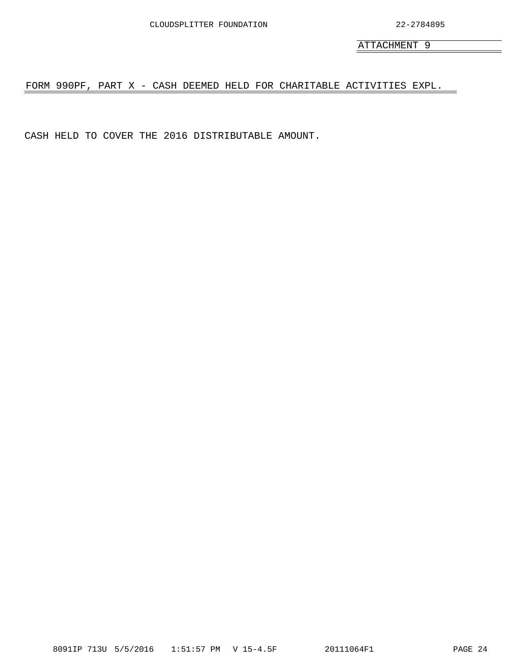<span id="page-22-0"></span>FORM 990PF, PART X - CASH DEEMED HELD FOR CHARITABLE ACTIVITIES EXPL.

CASH HELD TO COVER THE 2016 DISTRIBUTABLE AMOUNT.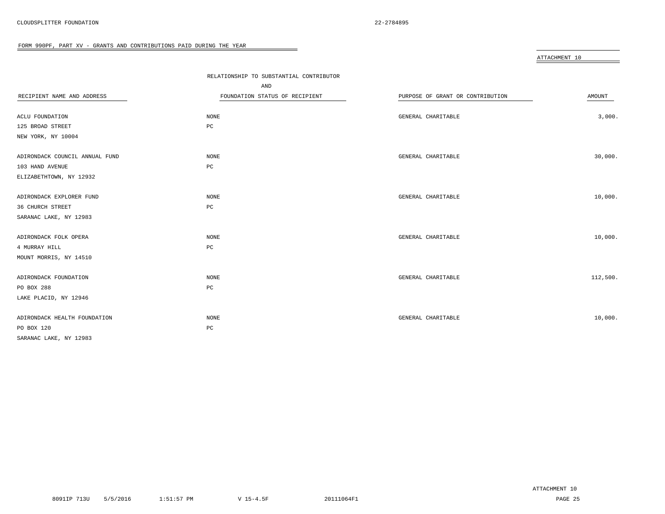<span id="page-23-0"></span>

|                                | RELATIONSHIP TO SUBSTANTIAL CONTRIBUTOR |                                  |          |
|--------------------------------|-----------------------------------------|----------------------------------|----------|
|                                | AND                                     |                                  |          |
| RECIPIENT NAME AND ADDRESS     | FOUNDATION STATUS OF RECIPIENT          | PURPOSE OF GRANT OR CONTRIBUTION | AMOUNT   |
|                                |                                         |                                  |          |
| ACLU FOUNDATION                | NONE                                    | GENERAL CHARITABLE               | 3,000.   |
| 125 BROAD STREET               | $_{\rm PC}$                             |                                  |          |
| NEW YORK, NY 10004             |                                         |                                  |          |
| ADIRONDACK COUNCIL ANNUAL FUND | NONE                                    | GENERAL CHARITABLE               | 30,000.  |
| 103 HAND AVENUE                | PC                                      |                                  |          |
| ELIZABETHTOWN, NY 12932        |                                         |                                  |          |
| ADIRONDACK EXPLORER FUND       | NONE                                    | GENERAL CHARITABLE               | 10,000.  |
| 36 CHURCH STREET               | PC                                      |                                  |          |
| SARANAC LAKE, NY 12983         |                                         |                                  |          |
| ADIRONDACK FOLK OPERA          | NONE                                    | GENERAL CHARITABLE               | 10,000.  |
| 4 MURRAY HILL                  | PC                                      |                                  |          |
| MOUNT MORRIS, NY 14510         |                                         |                                  |          |
| ADIRONDACK FOUNDATION          | NONE                                    | GENERAL CHARITABLE               | 112,500. |
| PO BOX 288                     | PC                                      |                                  |          |
| LAKE PLACID, NY 12946          |                                         |                                  |          |
| ADIRONDACK HEALTH FOUNDATION   | NONE                                    | GENERAL CHARITABLE               | 10,000.  |
| PO BOX 120                     | PC                                      |                                  |          |
| SARANAC LAKE, NY 12983         |                                         |                                  |          |
|                                |                                         |                                  |          |

 $\equiv$ 

ATTACHMENT 10

ATTACHMENT 10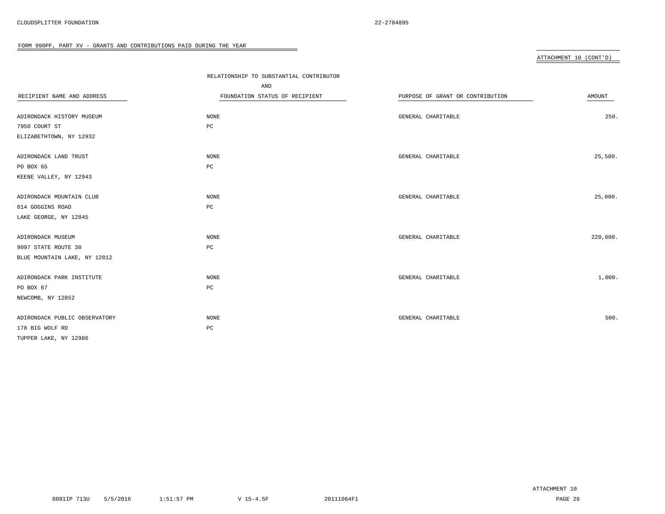#### ATTACHMENT 10 (CONT'D)

|                               | RELATIONSHIP TO SUBSTANTIAL CONTRIBUTOR |                                  |               |
|-------------------------------|-----------------------------------------|----------------------------------|---------------|
|                               | AND                                     |                                  |               |
| RECIPIENT NAME AND ADDRESS    | FOUNDATION STATUS OF RECIPIENT          | PURPOSE OF GRANT OR CONTRIBUTION | <b>AMOUNT</b> |
|                               |                                         |                                  |               |
| ADIRONDACK HISTORY MUSEUM     | <b>NONE</b>                             | GENERAL CHARITABLE               | 250.          |
| 7950 COURT ST                 | PC                                      |                                  |               |
| ELIZABETHTOWN, NY 12932       |                                         |                                  |               |
| ADIRONDACK LAND TRUST         | NONE                                    | GENERAL CHARITABLE               | 25,500.       |
| PO BOX 65                     | $_{\rm PC}$                             |                                  |               |
| KEENE VALLEY, NY 12943        |                                         |                                  |               |
| ADIRONDACK MOUNTAIN CLUB      | NONE                                    | GENERAL CHARITABLE               | 25,000.       |
| 814 GOGGINS ROAD              | PC                                      |                                  |               |
| LAKE GEORGE, NY 12845         |                                         |                                  |               |
|                               |                                         |                                  |               |
| ADIRONDACK MUSEUM             | <b>NONE</b>                             | GENERAL CHARITABLE               | 220,000.      |
| 9097 STATE ROUTE 30           | $_{\rm PC}$                             |                                  |               |
| BLUE MOUNTAIN LAKE, NY 12812  |                                         |                                  |               |
| ADIRONDACK PARK INSTITUTE     | NONE                                    | GENERAL CHARITABLE               | 1,000.        |
| PO BOX 67                     | $_{\rm PC}$                             |                                  |               |
| NEWCOMB, NY 12852             |                                         |                                  |               |
| ADIRONDACK PUBLIC OBSERVATORY | NONE                                    | GENERAL CHARITABLE               | 500.          |
| 178 BIG WOLF RD               | PC                                      |                                  |               |
| TUPPER LAKE, NY 12986         |                                         |                                  |               |
|                               |                                         |                                  |               |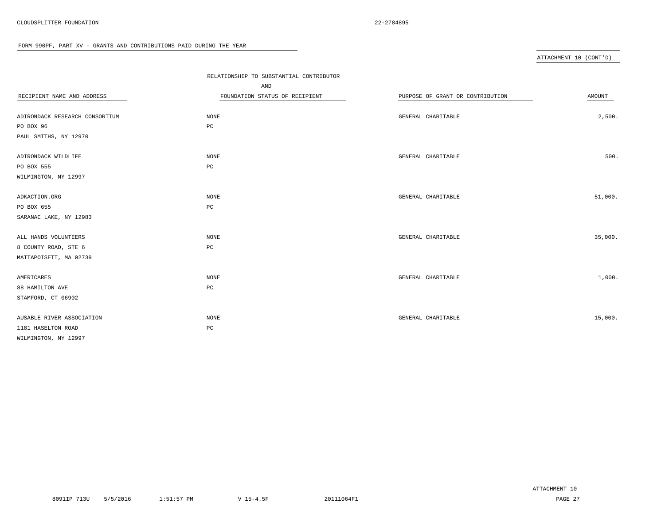#### ATTACHMENT 10 (CONT'D)

|                                | RELATIONSHIP TO SUBSTANTIAL CONTRIBUTOR |                                  |         |
|--------------------------------|-----------------------------------------|----------------------------------|---------|
|                                | AND                                     |                                  |         |
| RECIPIENT NAME AND ADDRESS     | FOUNDATION STATUS OF RECIPIENT          | PURPOSE OF GRANT OR CONTRIBUTION | AMOUNT  |
|                                |                                         |                                  |         |
| ADIRONDACK RESEARCH CONSORTIUM | NONE                                    | GENERAL CHARITABLE               | 2,500.  |
| PO BOX 96                      | $_{\rm PC}$                             |                                  |         |
| PAUL SMITHS, NY 12970          |                                         |                                  |         |
| ADIRONDACK WILDLIFE            | NONE                                    | GENERAL CHARITABLE               | 500.    |
| PO BOX 555                     | $_{\rm PC}$                             |                                  |         |
| WILMINGTON, NY 12997           |                                         |                                  |         |
| ADKACTION.ORG                  | NONE                                    | GENERAL CHARITABLE               | 51,000. |
| PO BOX 655                     | $_{\rm PC}$                             |                                  |         |
| SARANAC LAKE, NY 12983         |                                         |                                  |         |
| ALL HANDS VOLUNTEERS           | $\rm{NONE}$                             | GENERAL CHARITABLE               | 35,000. |
| 8 COUNTY ROAD, STE 6           | PC                                      |                                  |         |
| MATTAPOISETT, MA 02739         |                                         |                                  |         |
| AMERICARES                     | NONE                                    | GENERAL CHARITABLE               | 1,000.  |
| 88 HAMILTON AVE                | $_{\rm PC}$                             |                                  |         |
| STAMFORD, CT 06902             |                                         |                                  |         |
| AUSABLE RIVER ASSOCIATION      | NONE                                    | GENERAL CHARITABLE               | 15,000. |
| 1181 HASELTON ROAD             | $_{\rm PC}$                             |                                  |         |
| WILMINGTON, NY 12997           |                                         |                                  |         |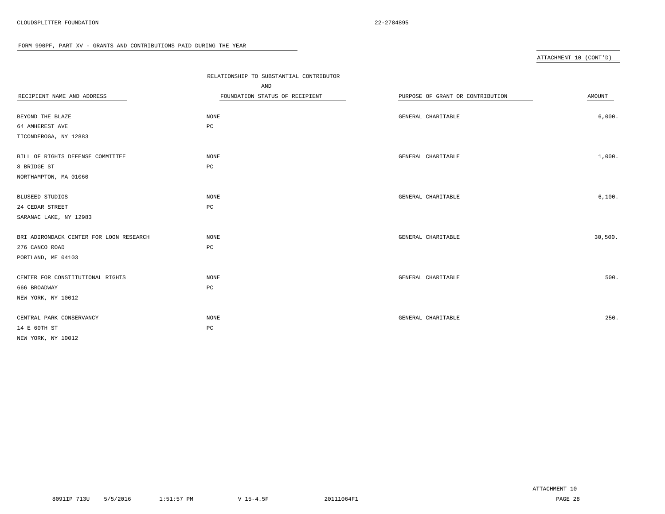#### ATTACHMENT 10 (CONT'D)

|                                         | RELATIONSHIP TO SUBSTANTIAL CONTRIBUTOR |                                  |         |
|-----------------------------------------|-----------------------------------------|----------------------------------|---------|
|                                         | AND                                     |                                  |         |
| RECIPIENT NAME AND ADDRESS              | FOUNDATION STATUS OF RECIPIENT          | PURPOSE OF GRANT OR CONTRIBUTION | AMOUNT  |
|                                         |                                         |                                  |         |
| BEYOND THE BLAZE                        | NONE                                    | GENERAL CHARITABLE               | 6,000.  |
| 64 AMHEREST AVE                         | PC                                      |                                  |         |
| TICONDEROGA, NY 12883                   |                                         |                                  |         |
| BILL OF RIGHTS DEFENSE COMMITTEE        | NONE                                    | GENERAL CHARITABLE               | 1,000.  |
| 8 BRIDGE ST                             | PC                                      |                                  |         |
| NORTHAMPTON, MA 01060                   |                                         |                                  |         |
| BLUSEED STUDIOS                         | NONE                                    | GENERAL CHARITABLE               | 6,100.  |
| 24 CEDAR STREET                         | $_{\rm PC}$                             |                                  |         |
| SARANAC LAKE, NY 12983                  |                                         |                                  |         |
| BRI ADIRONDACK CENTER FOR LOON RESEARCH | NONE                                    | GENERAL CHARITABLE               | 30,500. |
| 276 CANCO ROAD                          | PC                                      |                                  |         |
| PORTLAND, ME 04103                      |                                         |                                  |         |
| CENTER FOR CONSTITUTIONAL RIGHTS        | NONE                                    | GENERAL CHARITABLE               | 500.    |
| 666 BROADWAY                            | $_{\rm PC}$                             |                                  |         |
| NEW YORK, NY 10012                      |                                         |                                  |         |
| CENTRAL PARK CONSERVANCY                | NONE                                    | GENERAL CHARITABLE               | 250.    |
| 14 E 60TH ST                            | $_{\rm PC}$                             |                                  |         |
| NEW YORK, NY 10012                      |                                         |                                  |         |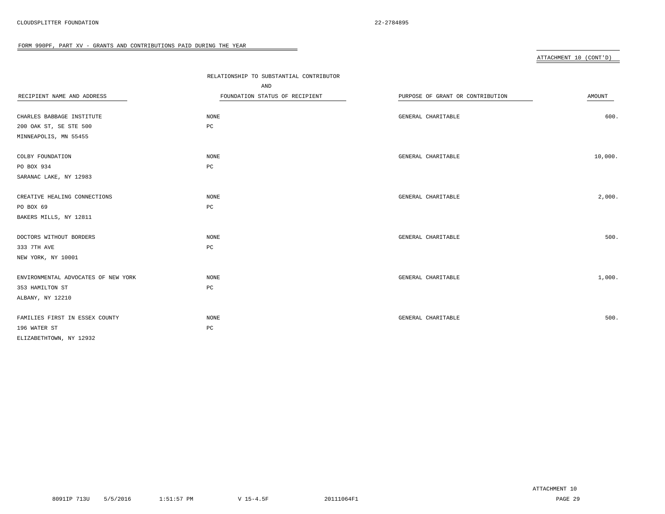#### ATTACHMENT 10 (CONT'D)

|                                     | RELATIONSHIP TO SUBSTANTIAL CONTRIBUTOR |                                  |         |
|-------------------------------------|-----------------------------------------|----------------------------------|---------|
|                                     | AND                                     |                                  |         |
| RECIPIENT NAME AND ADDRESS          | FOUNDATION STATUS OF RECIPIENT          | PURPOSE OF GRANT OR CONTRIBUTION | AMOUNT  |
|                                     |                                         |                                  |         |
| CHARLES BABBAGE INSTITUTE           | NONE                                    | GENERAL CHARITABLE               | 600.    |
| 200 OAK ST, SE STE 500              | PC                                      |                                  |         |
| MINNEAPOLIS, MN 55455               |                                         |                                  |         |
| COLBY FOUNDATION                    | NONE                                    | GENERAL CHARITABLE               | 10,000. |
| PO BOX 934                          | PC                                      |                                  |         |
| SARANAC LAKE, NY 12983              |                                         |                                  |         |
| CREATIVE HEALING CONNECTIONS        | NONE                                    | GENERAL CHARITABLE               | 2,000.  |
| PO BOX 69                           | PC                                      |                                  |         |
| BAKERS MILLS, NY 12811              |                                         |                                  |         |
| DOCTORS WITHOUT BORDERS             | NONE                                    | GENERAL CHARITABLE               | 500.    |
| 333 7TH AVE                         | $_{\rm PC}$                             |                                  |         |
|                                     |                                         |                                  |         |
| NEW YORK, NY 10001                  |                                         |                                  |         |
| ENVIRONMENTAL ADVOCATES OF NEW YORK | NONE                                    | GENERAL CHARITABLE               | 1,000.  |
| 353 HAMILTON ST                     | $_{\rm PC}$                             |                                  |         |
| ALBANY, NY 12210                    |                                         |                                  |         |
| FAMILIES FIRST IN ESSEX COUNTY      | NONE                                    | GENERAL CHARITABLE               | 500.    |
| 196 WATER ST                        | PC                                      |                                  |         |
| ELIZABETHTOWN, NY 12932             |                                         |                                  |         |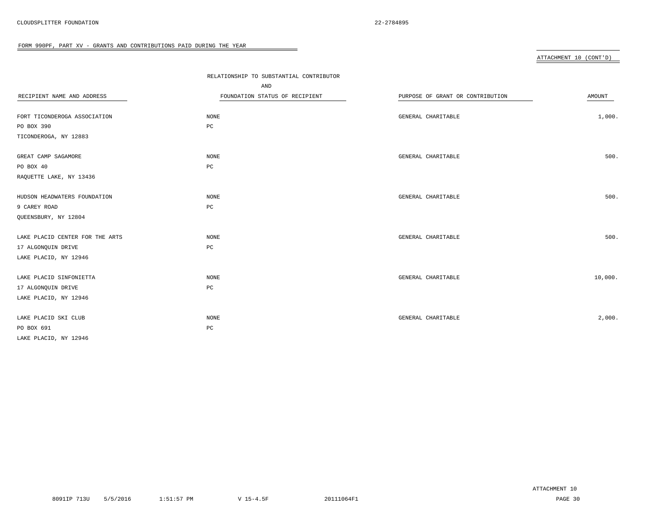#### ATTACHMENT 10 (CONT'D)

|                                 | RELATIONSHIP TO SUBSTANTIAL CONTRIBUTOR |                                  |               |
|---------------------------------|-----------------------------------------|----------------------------------|---------------|
|                                 | AND                                     |                                  |               |
| RECIPIENT NAME AND ADDRESS      | FOUNDATION STATUS OF RECIPIENT          | PURPOSE OF GRANT OR CONTRIBUTION | <b>AMOUNT</b> |
|                                 |                                         |                                  |               |
| FORT TICONDEROGA ASSOCIATION    | NONE                                    | GENERAL CHARITABLE               | 1,000.        |
| PO BOX 390                      | PC                                      |                                  |               |
| TICONDEROGA, NY 12883           |                                         |                                  |               |
| GREAT CAMP SAGAMORE             | NONE                                    | GENERAL CHARITABLE               | 500.          |
| PO BOX 40                       | PC                                      |                                  |               |
| RAQUETTE LAKE, NY 13436         |                                         |                                  |               |
| HUDSON HEADWATERS FOUNDATION    | NONE                                    | GENERAL CHARITABLE               | 500.          |
| 9 CAREY ROAD                    | PC                                      |                                  |               |
| QUEENSBURY, NY 12804            |                                         |                                  |               |
| LAKE PLACID CENTER FOR THE ARTS | NONE                                    | GENERAL CHARITABLE               | 500.          |
| 17 ALGONQUIN DRIVE              | PC                                      |                                  |               |
| LAKE PLACID, NY 12946           |                                         |                                  |               |
| LAKE PLACID SINFONIETTA         | NONE                                    | GENERAL CHARITABLE               | 10,000.       |
| 17 ALGONQUIN DRIVE              | PC                                      |                                  |               |
| LAKE PLACID, NY 12946           |                                         |                                  |               |
| LAKE PLACID SKI CLUB            | NONE                                    | GENERAL CHARITABLE               | 2,000.        |
| PO BOX 691                      | PC                                      |                                  |               |
| LAKE PLACID, NY 12946           |                                         |                                  |               |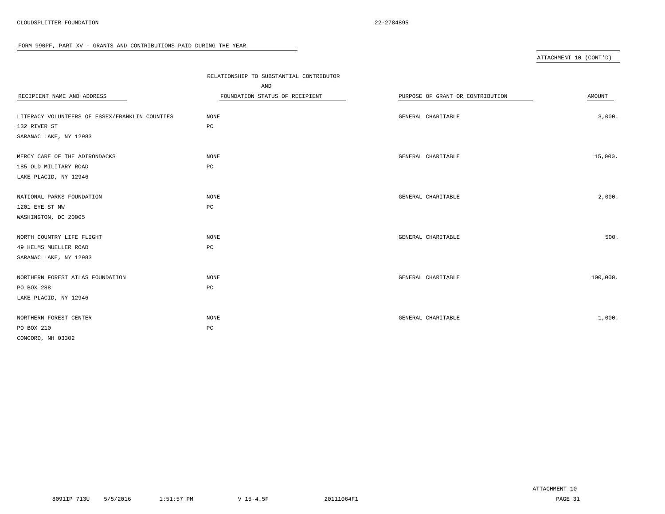#### ATTACHMENT 10 (CONT'D)

|                                                | RELATIONSHIP TO SUBSTANTIAL CONTRIBUTOR |                                  |          |
|------------------------------------------------|-----------------------------------------|----------------------------------|----------|
|                                                | AND                                     |                                  |          |
| RECIPIENT NAME AND ADDRESS                     | FOUNDATION STATUS OF RECIPIENT          | PURPOSE OF GRANT OR CONTRIBUTION | AMOUNT   |
|                                                |                                         |                                  |          |
| LITERACY VOLUNTEERS OF ESSEX/FRANKLIN COUNTIES | NONE                                    | GENERAL CHARITABLE               | 3,000.   |
| 132 RIVER ST                                   | $_{\rm PC}$                             |                                  |          |
| SARANAC LAKE, NY 12983                         |                                         |                                  |          |
| MERCY CARE OF THE ADIRONDACKS                  | NONE                                    | GENERAL CHARITABLE               | 15,000.  |
| 185 OLD MILITARY ROAD                          | PC                                      |                                  |          |
| LAKE PLACID, NY 12946                          |                                         |                                  |          |
| NATIONAL PARKS FOUNDATION                      | NONE                                    | GENERAL CHARITABLE               | 2,000.   |
| 1201 EYE ST NW                                 | $_{\rm PC}$                             |                                  |          |
| WASHINGTON, DC 20005                           |                                         |                                  |          |
| NORTH COUNTRY LIFE FLIGHT                      | NONE                                    | GENERAL CHARITABLE               | 500.     |
| 49 HELMS MUELLER ROAD                          | PC                                      |                                  |          |
| SARANAC LAKE, NY 12983                         |                                         |                                  |          |
| NORTHERN FOREST ATLAS FOUNDATION               | NONE                                    | GENERAL CHARITABLE               | 100,000. |
| PO BOX 288                                     | PC                                      |                                  |          |
| LAKE PLACID, NY 12946                          |                                         |                                  |          |
| NORTHERN FOREST CENTER                         | NONE                                    | GENERAL CHARITABLE               | 1,000.   |
| PO BOX 210                                     | PC                                      |                                  |          |
| CONCORD, NH 03302                              |                                         |                                  |          |

 $\overline{\phantom{a}}$ 

ATTACHMENT 10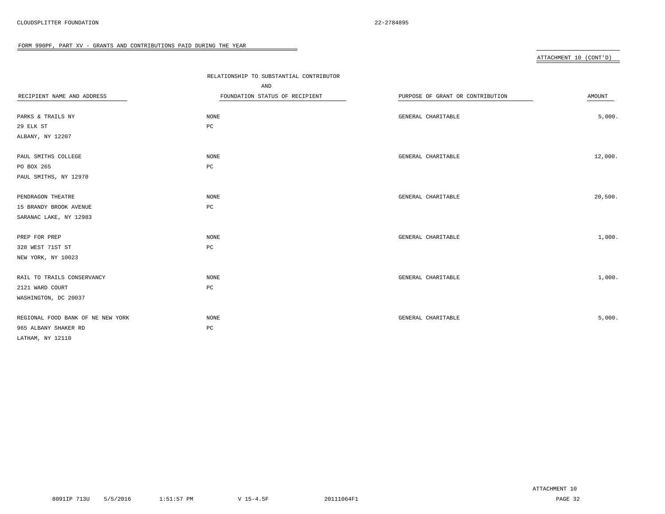#### ATTACHMENT 10 (CONT'D)

|                                   | RELATIONSHIP TO SUBSTANTIAL CONTRIBUTOR |                                  |         |
|-----------------------------------|-----------------------------------------|----------------------------------|---------|
|                                   | AND                                     |                                  |         |
| RECIPIENT NAME AND ADDRESS        | FOUNDATION STATUS OF RECIPIENT          | PURPOSE OF GRANT OR CONTRIBUTION | AMOUNT  |
|                                   |                                         |                                  |         |
| PARKS & TRAILS NY                 | NONE                                    | GENERAL CHARITABLE               | 5,000.  |
| 29 ELK ST                         | $_{\rm PC}$                             |                                  |         |
| ALBANY, NY 12207                  |                                         |                                  |         |
| PAUL SMITHS COLLEGE               | NONE                                    | GENERAL CHARITABLE               | 12,000. |
| PO BOX 265                        | $_{\rm PC}$                             |                                  |         |
| PAUL SMITHS, NY 12970             |                                         |                                  |         |
| PENDRAGON THEATRE                 | NONE                                    | GENERAL CHARITABLE               | 20,500. |
| 15 BRANDY BROOK AVENUE            | PC                                      |                                  |         |
| SARANAC LAKE, NY 12983            |                                         |                                  |         |
| PREP FOR PREP                     | NONE                                    | GENERAL CHARITABLE               | 1,000.  |
| 328 WEST 71ST ST                  | PC                                      |                                  |         |
| NEW YORK, NY 10023                |                                         |                                  |         |
| RAIL TO TRAILS CONSERVANCY        | NONE                                    | GENERAL CHARITABLE               | 1,000.  |
| 2121 WARD COURT                   | PC                                      |                                  |         |
| WASHINGTON, DC 20037              |                                         |                                  |         |
| REGIONAL FOOD BANK OF NE NEW YORK | NONE                                    | GENERAL CHARITABLE               | 5,000.  |
| 965 ALBANY SHAKER RD              | PC                                      |                                  |         |
| LATHAM, NY 12110                  |                                         |                                  |         |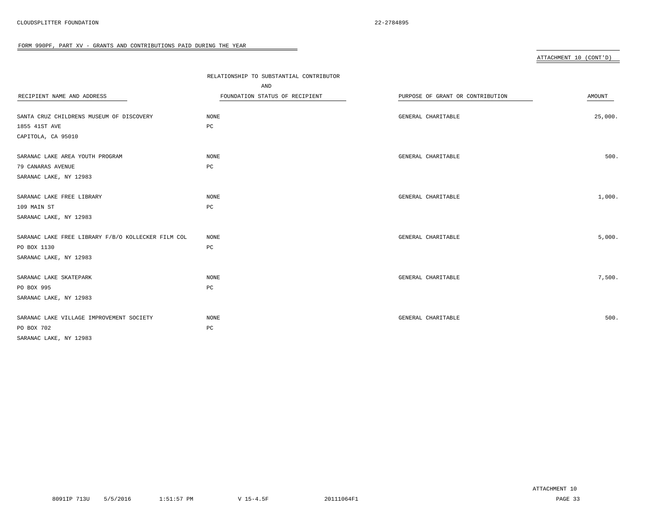#### ATTACHMENT 10 (CONT'D)

|                                                    | RELATIONSHIP TO SUBSTANTIAL CONTRIBUTOR |                                  |               |
|----------------------------------------------------|-----------------------------------------|----------------------------------|---------------|
|                                                    | AND                                     |                                  |               |
| RECIPIENT NAME AND ADDRESS                         | FOUNDATION STATUS OF RECIPIENT          | PURPOSE OF GRANT OR CONTRIBUTION | <b>AMOUNT</b> |
|                                                    |                                         |                                  |               |
| SANTA CRUZ CHILDRENS MUSEUM OF DISCOVERY           | NONE                                    | GENERAL CHARITABLE               | 25,000.       |
| 1855 41ST AVE                                      | PC                                      |                                  |               |
| CAPITOLA, CA 95010                                 |                                         |                                  |               |
| SARANAC LAKE AREA YOUTH PROGRAM                    | NONE                                    | GENERAL CHARITABLE               | 500.          |
| 79 CANARAS AVENUE                                  | PC                                      |                                  |               |
| SARANAC LAKE, NY 12983                             |                                         |                                  |               |
| SARANAC LAKE FREE LIBRARY                          | NONE                                    | GENERAL CHARITABLE               | 1,000.        |
| 109 MAIN ST                                        | $_{\rm PC}$                             |                                  |               |
| SARANAC LAKE, NY 12983                             |                                         |                                  |               |
| SARANAC LAKE FREE LIBRARY F/B/O KOLLECKER FILM COL | NONE                                    | GENERAL CHARITABLE               | 5,000.        |
| PO BOX 1130                                        | $_{\rm PC}$                             |                                  |               |
| SARANAC LAKE, NY 12983                             |                                         |                                  |               |
| SARANAC LAKE SKATEPARK                             | NONE                                    | GENERAL CHARITABLE               | 7,500.        |
| PO BOX 995                                         | PC                                      |                                  |               |
| SARANAC LAKE, NY 12983                             |                                         |                                  |               |
| SARANAC LAKE VILLAGE IMPROVEMENT SOCIETY           | NONE                                    | GENERAL CHARITABLE               | 500.          |
| PO BOX 702                                         | $_{\rm PC}$                             |                                  |               |
| SARANAC LAKE, NY 12983                             |                                         |                                  |               |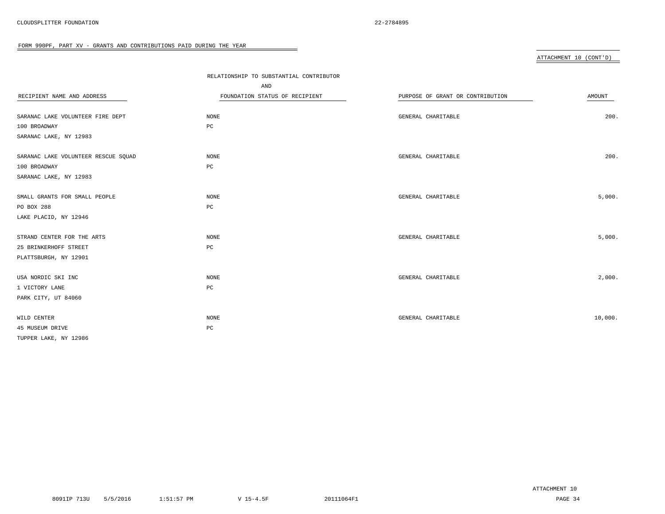#### ATTACHMENT 10 (CONT'D)

|                                     | RELATIONSHIP TO SUBSTANTIAL CONTRIBUTOR |                                  |         |
|-------------------------------------|-----------------------------------------|----------------------------------|---------|
|                                     | AND                                     |                                  |         |
| RECIPIENT NAME AND ADDRESS          | FOUNDATION STATUS OF RECIPIENT          | PURPOSE OF GRANT OR CONTRIBUTION | AMOUNT  |
|                                     |                                         |                                  |         |
| SARANAC LAKE VOLUNTEER FIRE DEPT    | NONE                                    | GENERAL CHARITABLE               | 200.    |
| 100 BROADWAY                        | $_{\rm PC}$                             |                                  |         |
| SARANAC LAKE, NY 12983              |                                         |                                  |         |
| SARANAC LAKE VOLUNTEER RESCUE SQUAD | NONE                                    | GENERAL CHARITABLE               | 200.    |
| 100 BROADWAY                        | $_{\rm PC}$                             |                                  |         |
| SARANAC LAKE, NY 12983              |                                         |                                  |         |
| SMALL GRANTS FOR SMALL PEOPLE       | NONE                                    | GENERAL CHARITABLE               | 5,000.  |
| PO BOX 288                          | $_{\rm PC}$                             |                                  |         |
| LAKE PLACID, NY 12946               |                                         |                                  |         |
| STRAND CENTER FOR THE ARTS          | NONE                                    | GENERAL CHARITABLE               | 5,000.  |
| 25 BRINKERHOFF STREET               | $_{\rm PC}$                             |                                  |         |
| PLATTSBURGH, NY 12901               |                                         |                                  |         |
| USA NORDIC SKI INC                  | NONE                                    | GENERAL CHARITABLE               | 2,000.  |
| 1 VICTORY LANE                      | $_{\rm PC}$                             |                                  |         |
| PARK CITY, UT 84060                 |                                         |                                  |         |
| WILD CENTER                         | NONE                                    | GENERAL CHARITABLE               | 10,000. |
| 45 MUSEUM DRIVE                     | $_{\rm PC}$                             |                                  |         |
| TUPPER LAKE, NY 12986               |                                         |                                  |         |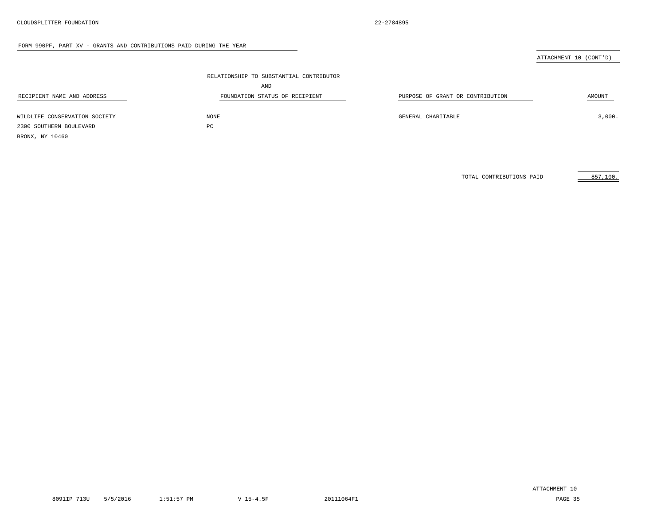#### ATTACHMENT 10 (CONT'D)

|                               | RELATIONSHIP TO SUBSTANTIAL CONTRIBUTOR |                                  |        |
|-------------------------------|-----------------------------------------|----------------------------------|--------|
|                               | AND                                     |                                  |        |
| RECIPIENT NAME AND ADDRESS    | FOUNDATION STATUS OF RECIPIENT          | PURPOSE OF GRANT OR CONTRIBUTION | AMOUNT |
| WILDLIFE CONSERVATION SOCIETY | NONE                                    | GENERAL CHARITABLE               | 3,000. |
| 2300 SOUTHERN BOULEVARD       | PC                                      |                                  |        |
| BRONX, NY 10460               |                                         |                                  |        |

TOTAL CONTRIBUTIONS PAID 857,100.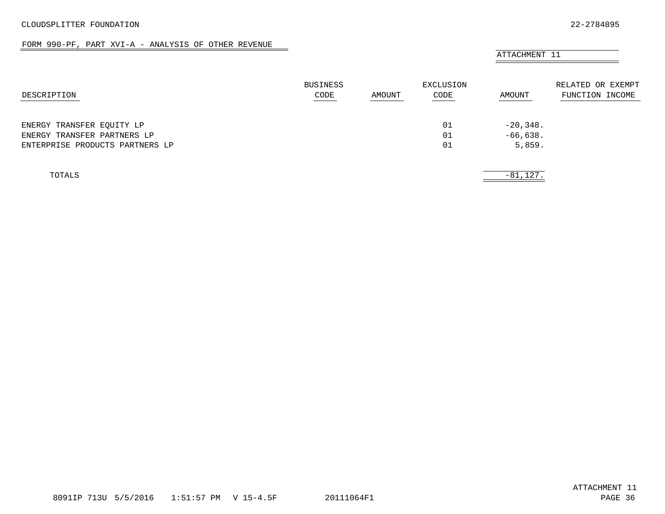#### FORM 990-PF, PART XVI-A - ANALYSIS OF OTHER REVENUE

# ATTACHMENT 11 BUSINESS **EXCLUSION** EXCLUSION RELATED OR EXEMPT DESCRIPTION CODE AMOUNT CODE AMOUNT FUNCTION INCOME ENERGY TRANSFER EQUITY LP  $-20,348$ . ENERGY TRANSFER PARTNERS LP  $-66,638$ . ENTERPRISE PRODUCTS PARTNERS LP 01 5,859.

<span id="page-34-0"></span>

| TOTALS |  | $\sim$ $\sim$<br>$- \times$<br>81,147 |
|--------|--|---------------------------------------|
|        |  |                                       |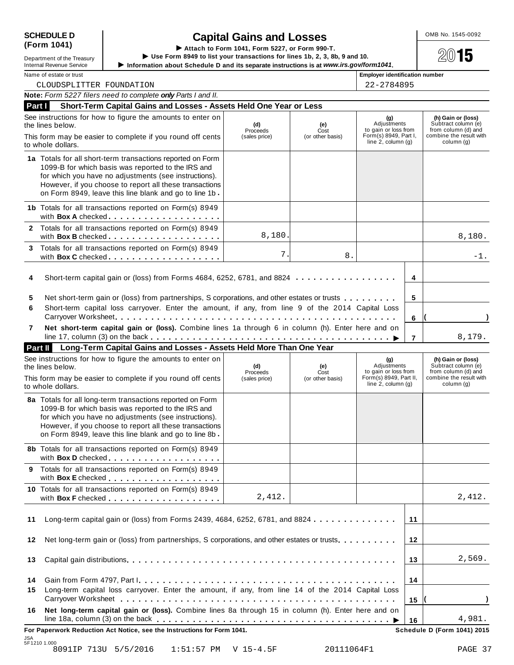# **(Form 1041)**

# **SCHEDULE D** OMB No. 1545-0092 **Capital Gains and Losses**

SCHEDULE D<br>
(Form 1041)<br>
Department of the Treasury<br>
Department of the Treasury<br>
Information about Schedule D and its separate instructions is at www.irs.gov/form1041.

<u>Dependication</u> of the Treasury<br>Internal Revenue Service ▶ Information about Schedule D and its separate instructions is at www.irs.gov/form1041.<br>Name of estate or trust **Employer identification number** 

| ilitelilai Iteveliue Jelvice |  |
|------------------------------|--|
| Name of estate or trust      |  |

CLOUDSPLITTER FOUNDATION 22-2784895

|          | Note: Form 5227 filers need to complete only Parts I and II.                                                                                                                                                                                                                                   |                                  |                                 |                                                                                                 |    |                                                                                                           |
|----------|------------------------------------------------------------------------------------------------------------------------------------------------------------------------------------------------------------------------------------------------------------------------------------------------|----------------------------------|---------------------------------|-------------------------------------------------------------------------------------------------|----|-----------------------------------------------------------------------------------------------------------|
| Part I   | Short-Term Capital Gains and Losses - Assets Held One Year or Less                                                                                                                                                                                                                             |                                  |                                 |                                                                                                 |    |                                                                                                           |
|          | See instructions for how to figure the amounts to enter on<br>the lines below.                                                                                                                                                                                                                 | (d)<br>Proceeds                  | (e)<br>Cost                     | (g)<br>Adjustments<br>to gain or loss from                                                      |    | (h) Gain or (loss)<br>Subtract column (e)<br>from column (d) and                                          |
|          | This form may be easier to complete if you round off cents<br>to whole dollars.                                                                                                                                                                                                                | (sales price)                    | (or other basis)                | Form(s) 8949, Part I,<br>line $2$ , column $(g)$                                                |    | combine the result with<br>column (g)                                                                     |
|          | 1a Totals for all short-term transactions reported on Form<br>1099-B for which basis was reported to the IRS and                                                                                                                                                                               |                                  |                                 |                                                                                                 |    |                                                                                                           |
|          | for which you have no adjustments (see instructions).<br>However, if you choose to report all these transactions<br>on Form 8949, leave this line blank and go to line 1b.                                                                                                                     |                                  |                                 |                                                                                                 |    |                                                                                                           |
|          | 1b Totals for all transactions reported on Form(s) 8949<br>with Box A checked.                                                                                                                                                                                                                 |                                  |                                 |                                                                                                 |    |                                                                                                           |
|          | 2 Totals for all transactions reported on Form(s) 8949<br>with Box B checked                                                                                                                                                                                                                   | 8,180.                           |                                 |                                                                                                 |    | 8,180.                                                                                                    |
| 3        | Totals for all transactions reported on Form(s) 8949<br>with Box C checked.                                                                                                                                                                                                                    | 7.                               | 8.                              |                                                                                                 |    | -1.                                                                                                       |
| 4        | Short-term capital gain or (loss) from Forms 4684, 6252, 6781, and 8824                                                                                                                                                                                                                        |                                  |                                 |                                                                                                 | 4  |                                                                                                           |
| 5<br>6   | Net short-term gain or (loss) from partnerships, S corporations, and other estates or trusts<br>Short-term capital loss carryover. Enter the amount, if any, from line 9 of the 2014 Capital Loss                                                                                              |                                  |                                 |                                                                                                 | 5  |                                                                                                           |
|          |                                                                                                                                                                                                                                                                                                |                                  |                                 |                                                                                                 | 6  |                                                                                                           |
| 7        | Net short-term capital gain or (loss). Combine lines 1a through 6 in column (h). Enter here and on                                                                                                                                                                                             |                                  |                                 |                                                                                                 | 7  | 8,179.                                                                                                    |
|          | Long-Term Capital Gains and Losses - Assets Held More Than One Year<br>Part II                                                                                                                                                                                                                 |                                  |                                 |                                                                                                 |    |                                                                                                           |
|          | See instructions for how to figure the amounts to enter on<br>the lines below.<br>This form may be easier to complete if you round off cents                                                                                                                                                   | (d)<br>Proceeds<br>(sales price) | (e)<br>Cost<br>(or other basis) | (g)<br>Adjustments<br>to gain or loss from<br>Form(s) 8949, Part II,<br>line $2$ , column $(g)$ |    | (h) Gain or (loss)<br>Subtract column (e)<br>from column (d) and<br>combine the result with<br>column (g) |
|          | to whole dollars.                                                                                                                                                                                                                                                                              |                                  |                                 |                                                                                                 |    |                                                                                                           |
|          | 8a Totals for all long-term transactions reported on Form<br>1099-B for which basis was reported to the IRS and<br>for which you have no adjustments (see instructions).<br>However, if you choose to report all these transactions<br>on Form 8949, leave this line blank and go to line 8b - |                                  |                                 |                                                                                                 |    |                                                                                                           |
|          | 8b Totals for all transactions reported on Form(s) 8949<br>with Box D checked                                                                                                                                                                                                                  |                                  |                                 |                                                                                                 |    |                                                                                                           |
| 9        | Totals for all transactions reported on Form(s) 8949                                                                                                                                                                                                                                           |                                  |                                 |                                                                                                 |    |                                                                                                           |
|          | 10 Totals for all transactions reported on Form(s) 8949<br>with Box F checked                                                                                                                                                                                                                  | 2,412.                           |                                 |                                                                                                 |    | 2,412.                                                                                                    |
| 11       | Long-term capital gain or (loss) from Forms 2439, 4684, 6252, 6781, and 8824                                                                                                                                                                                                                   |                                  |                                 |                                                                                                 | 11 |                                                                                                           |
| 12       | Net long-term gain or (loss) from partnerships, S corporations, and other estates or trusts.                                                                                                                                                                                                   |                                  |                                 |                                                                                                 | 12 |                                                                                                           |
| 13       |                                                                                                                                                                                                                                                                                                |                                  |                                 |                                                                                                 | 13 | 2,569.                                                                                                    |
| 14<br>15 | Long-term capital loss carryover. Enter the amount, if any, from line 14 of the 2014 Capital Loss                                                                                                                                                                                              |                                  |                                 |                                                                                                 | 14 |                                                                                                           |
| 16       | Net long-term capital gain or (loss). Combine lines 8a through 15 in column (h). Enter here and on                                                                                                                                                                                             |                                  |                                 |                                                                                                 | 15 |                                                                                                           |
|          | For Paperwork Reduction Act Notice, see the Instructions for Form 1041.                                                                                                                                                                                                                        |                                  |                                 |                                                                                                 | 16 | 4,981.<br><b>Schedule D (Form 1041) 2015</b>                                                              |
|          | JSA<br>5F1210 1.000                                                                                                                                                                                                                                                                            |                                  |                                 |                                                                                                 |    |                                                                                                           |
|          | 8091IP 713U 5/5/2016<br>$1:51:57$ PM                                                                                                                                                                                                                                                           | V 15-4.5F                        | 20111064F1                      |                                                                                                 |    | PAGE 37                                                                                                   |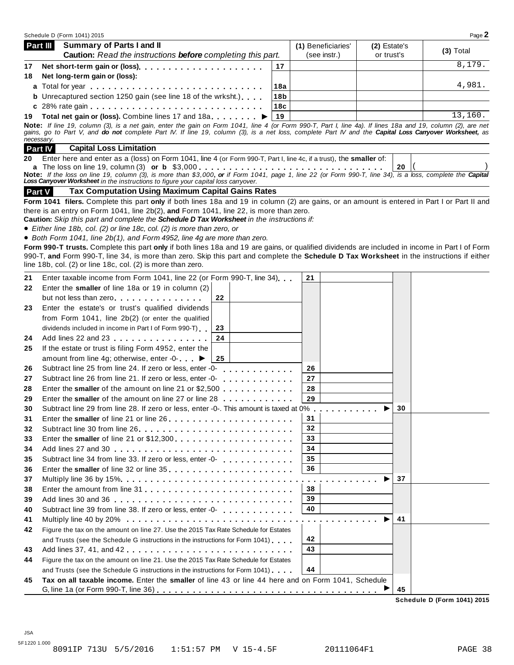|    | Schedule D (Form 1041) 2015                                                                                                                                                                                                                                                                                                                                                             |                 |                     |              |    | Page 2      |
|----|-----------------------------------------------------------------------------------------------------------------------------------------------------------------------------------------------------------------------------------------------------------------------------------------------------------------------------------------------------------------------------------------|-----------------|---------------------|--------------|----|-------------|
|    | <b>Summary of Parts I and II</b><br>Part III                                                                                                                                                                                                                                                                                                                                            |                 | (1) Beneficiaries'  | (2) Estate's |    | $(3)$ Total |
|    | Caution: Read the instructions before completing this part.                                                                                                                                                                                                                                                                                                                             |                 | (see instr.)        | or trust's   |    |             |
| 17 |                                                                                                                                                                                                                                                                                                                                                                                         | 17              |                     |              |    | 8,179.      |
| 18 | Net long-term gain or (loss):                                                                                                                                                                                                                                                                                                                                                           |                 |                     |              |    |             |
|    |                                                                                                                                                                                                                                                                                                                                                                                         | 18a             |                     |              |    | 4,981.      |
|    | <b>b</b> Unrecaptured section 1250 gain (see line 18 of the wrksht.)                                                                                                                                                                                                                                                                                                                    | 18 <sub>b</sub> |                     |              |    |             |
|    |                                                                                                                                                                                                                                                                                                                                                                                         | 18c             |                     |              |    |             |
|    | 19 Total net gain or (loss). Combine lines 17 and 18a                                                                                                                                                                                                                                                                                                                                   | 19              |                     |              |    | 13,160.     |
|    | Note: If line 19, column (3), is a net gain, enter the gain on Form 1041, line 4 (or Form 990-T, Part I, line 4a). If lines 18a and 19, column (2), are net<br>gains, go to Part V, and do not complete Part IV. If line 19, column (3), is a net loss, complete Part IV and the Capital Loss Carryover Worksheet, as<br>necessary.<br><b>Part IV</b><br><b>Capital Loss Limitation</b> |                 |                     |              |    |             |
| 20 | Enter here and enter as a (loss) on Form 1041, line 4 (or Form 990-T, Part I, line 4c, if a trust), the smaller of:                                                                                                                                                                                                                                                                     |                 |                     |              |    |             |
|    | Note: If the loss on line 19, column (3), is more than \$3,000, or if Form 1041, page 1, line 22 (or Form 990-T, line 34), is a loss, complete the Capital                                                                                                                                                                                                                              |                 |                     |              | 20 |             |
|    | Loss Carryover Worksheet in the instructions to figure your capital loss carryover.                                                                                                                                                                                                                                                                                                     |                 |                     |              |    |             |
|    | Tax Computation Using Maximum Capital Gains Rates<br><b>Part V</b>                                                                                                                                                                                                                                                                                                                      |                 |                     |              |    |             |
|    | Form 1041 filers. Complete this part only if both lines 18a and 19 in column (2) are gains, or an amount is entered in Part I or Part II and                                                                                                                                                                                                                                            |                 |                     |              |    |             |
|    | there is an entry on Form 1041, line 2b(2), and Form 1041, line 22, is more than zero.                                                                                                                                                                                                                                                                                                  |                 |                     |              |    |             |
|    | Caution: Skip this part and complete the Schedule D Tax Worksheet in the instructions if:                                                                                                                                                                                                                                                                                               |                 |                     |              |    |             |
|    | • Either line 18b, col. (2) or line 18c, col. (2) is more than zero, or                                                                                                                                                                                                                                                                                                                 |                 |                     |              |    |             |
|    | • Both Form 1041, line 2b(1), and Form 4952, line 4g are more than zero.                                                                                                                                                                                                                                                                                                                |                 |                     |              |    |             |
|    | Form 990-T trusts. Complete this part only if both lines 18a and 19 are gains, or qualified dividends are included in income in Part I of Form<br>990-T, and Form 990-T, line 34, is more than zero. Skip this part and complete the Schedule D Tax Worksheet in the instructions if either                                                                                             |                 |                     |              |    |             |
|    | line 18b, col. (2) or line 18c, col. (2) is more than zero.                                                                                                                                                                                                                                                                                                                             |                 |                     |              |    |             |
|    |                                                                                                                                                                                                                                                                                                                                                                                         |                 |                     |              |    |             |
| 21 | Enter taxable income from Form 1041, line 22 (or Form 990-T, line 34)                                                                                                                                                                                                                                                                                                                   |                 | 21                  |              |    |             |
| 22 | Enter the smaller of line 18a or 19 in column (2)                                                                                                                                                                                                                                                                                                                                       |                 |                     |              |    |             |
|    | 22<br>but not less than zero                                                                                                                                                                                                                                                                                                                                                            |                 |                     |              |    |             |
| 23 | Enter the estate's or trust's qualified dividends                                                                                                                                                                                                                                                                                                                                       |                 |                     |              |    |             |
|    | from Form 1041, line 2b(2) (or enter the qualified                                                                                                                                                                                                                                                                                                                                      |                 |                     |              |    |             |
|    | dividends included in income in Part I of Form 990-T)<br>23                                                                                                                                                                                                                                                                                                                             |                 |                     |              |    |             |
| 24 | 24<br>Add lines 22 and 23                                                                                                                                                                                                                                                                                                                                                               |                 |                     |              |    |             |
| 25 | If the estate or trust is filing Form 4952, enter the                                                                                                                                                                                                                                                                                                                                   |                 |                     |              |    |             |
|    | amount from line 4g; otherwise, enter -0- ▶<br>25                                                                                                                                                                                                                                                                                                                                       |                 |                     |              |    |             |
| 26 | Subtract line 25 from line 24. If zero or less, enter -0-<br><u>.</u>                                                                                                                                                                                                                                                                                                                   |                 | 26                  |              |    |             |
| 27 | Subtract line 26 from line 21. If zero or less, enter -0-<br>de la caractería de la caractería                                                                                                                                                                                                                                                                                          |                 | 27                  |              |    |             |
| 28 | Enter the smaller of the amount on line 21 or \$2,500                                                                                                                                                                                                                                                                                                                                   |                 | 28                  |              |    |             |
| 29 | Enter the smaller of the amount on line 27 or line 28                                                                                                                                                                                                                                                                                                                                   |                 | 29                  |              |    |             |
| 30 | Subtract line 29 from line 28. If zero or less, enter -0-. This amount is taxed at 0%.                                                                                                                                                                                                                                                                                                  |                 | .                   |              | 30 |             |
| 31 | Enter the smaller of line 21 or line 26                                                                                                                                                                                                                                                                                                                                                 |                 | 31                  |              |    |             |
| 32 |                                                                                                                                                                                                                                                                                                                                                                                         |                 | 32                  |              |    |             |
| 33 |                                                                                                                                                                                                                                                                                                                                                                                         |                 | 33                  |              |    |             |
| 34 |                                                                                                                                                                                                                                                                                                                                                                                         |                 | 34                  |              |    |             |
| 35 |                                                                                                                                                                                                                                                                                                                                                                                         |                 | 35                  |              |    |             |
| 36 |                                                                                                                                                                                                                                                                                                                                                                                         |                 | 36                  |              |    |             |
| 37 |                                                                                                                                                                                                                                                                                                                                                                                         |                 | $\alpha$ . $\alpha$ |              | 37 |             |
| 38 |                                                                                                                                                                                                                                                                                                                                                                                         |                 | 38                  |              |    |             |
| 39 |                                                                                                                                                                                                                                                                                                                                                                                         |                 | 39                  |              |    |             |
| 40 |                                                                                                                                                                                                                                                                                                                                                                                         |                 | 40                  |              |    |             |
| 41 |                                                                                                                                                                                                                                                                                                                                                                                         |                 |                     |              | 41 |             |
| 42 | Figure the tax on the amount on line 27. Use the 2015 Tax Rate Schedule for Estates                                                                                                                                                                                                                                                                                                     |                 |                     |              |    |             |
|    | and Trusts (see the Schedule G instructions in the instructions for Form 1041)                                                                                                                                                                                                                                                                                                          |                 | 42                  |              |    |             |
| 43 | Add lines 37, 41, and 42                                                                                                                                                                                                                                                                                                                                                                |                 | 43                  |              |    |             |
| 44 | Figure the tax on the amount on line 21. Use the 2015 Tax Rate Schedule for Estates                                                                                                                                                                                                                                                                                                     |                 |                     |              |    |             |
|    | and Trusts (see the Schedule G instructions in the instructions for Form 1041)                                                                                                                                                                                                                                                                                                          |                 | 44                  |              |    |             |
| 45 | Tax on all taxable income. Enter the smaller of line 43 or line 44 here and on Form 1041, Schedule                                                                                                                                                                                                                                                                                      |                 |                     |              |    |             |
|    |                                                                                                                                                                                                                                                                                                                                                                                         |                 |                     |              | 45 |             |

**Schedule D (Form 1041) 2015**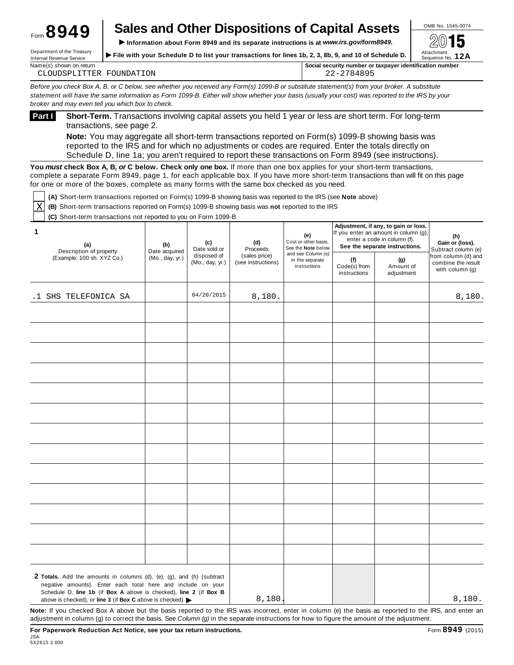### **Sales and Other Dispositions of Capital Assets**  $\frac{\circ}{\cdot}$ Form **8949**

**IF INFORMATION DEPARTMENT OF TREASURY CONTRESS IN THE VIS OF THE WITH YOU TO ALL PROPARTMENT OF THE <b>Department** of the Treasury **internal Revenue Service** in Sequence No. 12A Department of the Treasury **File with your Schedule D to list your transactions for lines 1b, 2, 3, 8b, 9, and 10 of Schedule D.** 

| Name(s                                  | $\cdots$                           |
|-----------------------------------------|------------------------------------|
| ⊢return                                 | r identification number            |
| shown on                                | Social security number or taxpaver |
| FOUNDATION<br>LITTER<br>ำเเ<br>CLOUDSP' | <u>็</u> ⊌ ⊧                       |

Before you check Box A, B, or C below, see whether you received any Form(s) 1099-B or substitute statement(s) from your broker. A substitute statement will have the same information as Form 1099-B. Either will show whether your basis (usually your cost) was reported to the IRS by your *broker and may even tell you which box to check.*

**Short-Term.** Transactions involving capital assets you held 1 year or less are short term. For long-term transactions, see page 2. **Part <sup>I</sup>**

**Note:** You may aggregate all short-term transactions reported on Form(s) 1099-B showing basis was reported to the IRS and for which no adjustments or codes are required. Enter the totals directly on Schedule D, line 1a; you aren't required to report these transactions on Form 8949 (see instructions).

**You** *must* **check Box A, B,** *or* **C below. Check only one box.** If more than one box applies for your short-term transactions, complete a separate Form 8949, page 1, for each applicable box. If you have more short-term transactions than will fit on this page for one or more of the boxes, complete as many forms with the same box checked as you need.

**(A)** Short-term transactions reported on Form(s) 1099-B showing basis was reported to the IRS (see **Note** above)

**(B)** Short-term transactions reported on Form(s) 1099-B showing basis was **not** reported to the IRS X

**(C)** Short-term transactions not reported to you on Form 1099-B

| 1<br>(a)<br>Description of property                                                                                                                                                                                                    | (b)<br>Date acquired | (c)<br>Date sold or            | (d)<br>Proceeds                     | (e)<br>Cost or other basis.<br>See the Note below     |                                     | Adjustment, if any, to gain or loss.<br>If you enter an amount in column (g),<br>enter a code in column (f).<br>See the separate instructions. | (h)<br>Gain or (loss).<br>Subtract column (e)                |
|----------------------------------------------------------------------------------------------------------------------------------------------------------------------------------------------------------------------------------------|----------------------|--------------------------------|-------------------------------------|-------------------------------------------------------|-------------------------------------|------------------------------------------------------------------------------------------------------------------------------------------------|--------------------------------------------------------------|
| (Example: 100 sh. XYZ Co.)                                                                                                                                                                                                             | (Mo., day, yr.)      | disposed of<br>(Mo., day, yr.) | (sales price)<br>(see instructions) | and see Column (e)<br>in the separate<br>instructions | (f)<br>Code(s) from<br>instructions | (g)<br>Amount of<br>adjustment                                                                                                                 | from column (d) and<br>combine the result<br>with column (g) |
| .1 SHS TELEFONICA SA                                                                                                                                                                                                                   |                      | 04/20/2015                     | 8,180.                              |                                                       |                                     |                                                                                                                                                | 8,180.                                                       |
|                                                                                                                                                                                                                                        |                      |                                |                                     |                                                       |                                     |                                                                                                                                                |                                                              |
|                                                                                                                                                                                                                                        |                      |                                |                                     |                                                       |                                     |                                                                                                                                                |                                                              |
|                                                                                                                                                                                                                                        |                      |                                |                                     |                                                       |                                     |                                                                                                                                                |                                                              |
|                                                                                                                                                                                                                                        |                      |                                |                                     |                                                       |                                     |                                                                                                                                                |                                                              |
|                                                                                                                                                                                                                                        |                      |                                |                                     |                                                       |                                     |                                                                                                                                                |                                                              |
|                                                                                                                                                                                                                                        |                      |                                |                                     |                                                       |                                     |                                                                                                                                                |                                                              |
|                                                                                                                                                                                                                                        |                      |                                |                                     |                                                       |                                     |                                                                                                                                                |                                                              |
|                                                                                                                                                                                                                                        |                      |                                |                                     |                                                       |                                     |                                                                                                                                                |                                                              |
|                                                                                                                                                                                                                                        |                      |                                |                                     |                                                       |                                     |                                                                                                                                                |                                                              |
|                                                                                                                                                                                                                                        |                      |                                |                                     |                                                       |                                     |                                                                                                                                                |                                                              |
|                                                                                                                                                                                                                                        |                      |                                |                                     |                                                       |                                     |                                                                                                                                                |                                                              |
|                                                                                                                                                                                                                                        |                      |                                |                                     |                                                       |                                     |                                                                                                                                                |                                                              |
|                                                                                                                                                                                                                                        |                      |                                |                                     |                                                       |                                     |                                                                                                                                                |                                                              |
| 2 Totals. Add the amounts in columns (d), (e), (g), and (h) (subtract<br>negative amounts). Enter each total here and include on your<br>Schedule D, line 1b (if Box A above is checked), line 2 (if Box B                             |                      |                                | 8,180                               |                                                       |                                     |                                                                                                                                                | 8,180.                                                       |
| above is checked), or line 3 (if Box C above is checked) $\blacktriangleright$<br>Note: If you checked Box A above but the basis reported to the IRS was incorrect, enter in column (e) the basis as reported to the IRS, and enter an |                      |                                |                                     |                                                       |                                     |                                                                                                                                                |                                                              |

adjustment in column (g) to correct the basis. See *Column (g)* in the separate instructions for how to figure the amount of the adjustment.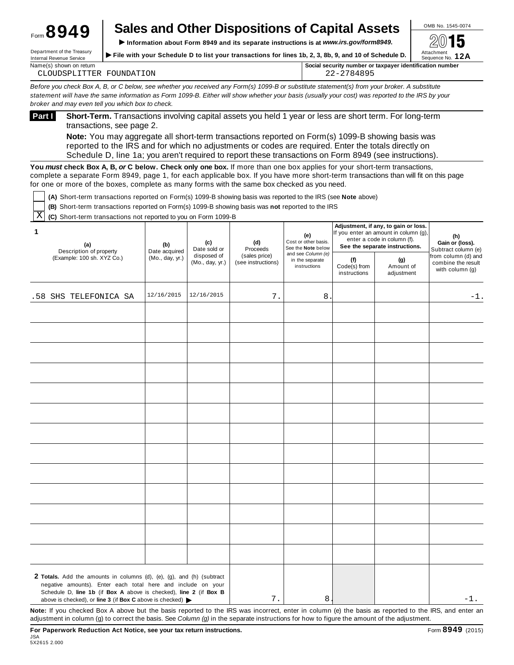# **Sales and Other Dispositions of Capital Assets**  $\frac{\circ}{\cdot}$

IFORM **Department of the Treasury**<br>
Information about Form 8949 and its separate instructions is at *www.irs.gov/form8949.* <br>
Internal Revenue Service<br>
Note Treasury<br>
Internal Revenue Service<br>
Note Treasury<br>
Internal Rev Department of the Treasury **File with your Schedule D to list your transactions for lines 1b, 2, 3, 8b, 9, and 10 of Schedule D.** 

| Name(s)<br>i shown on return                            | Social security number or taxpayer identification number |
|---------------------------------------------------------|----------------------------------------------------------|
| TON<br>ገገ ਜਾਂ ਜ<br><b>FOUND</b><br>ΔI<br>$\overline{A}$ | ◡<br>,  _                                                |

Before you check Box A, B, or C below, see whether you received any Form(s) 1099-B or substitute statement(s) from your broker. A substitute statement will have the same information as Form 1099-B. Either will show whether your basis (usually your cost) was reported to the IRS by your *broker and may even tell you which box to check.*

**Short-Term.** Transactions involving capital assets you held 1 year or less are short term. For long-term transactions, see page 2. **Part <sup>I</sup>**

**Note:** You may aggregate all short-term transactions reported on Form(s) 1099-B showing basis was reported to the IRS and for which no adjustments or codes are required. Enter the totals directly on Schedule D, line 1a; you aren't required to report these transactions on Form 8949 (see instructions).

**You** *must* **check Box A, B,** *or* **C below. Check only one box.** If more than one box applies for your short-term transactions, complete a separate Form 8949, page 1, for each applicable box. If you have more short-term transactions than will fit on this page for one or more of the boxes, complete as many forms with the same box checked as you need.

**(A)** Short-term transactions reported on Form(s) 1099-B showing basis was reported to the IRS (see **Note** above)

**(B)** Short-term transactions reported on Form(s) 1099-B showing basis was **not** reported to the IRS

 $\overline{\mathrm{X}}$  (C) Short-term transactions not reported to you on Form 1099-B

| 1<br>(a)<br>Description of property                                                                                                                                                                                                                                                          | (b)<br>Date acquired | (c)<br>Date sold or            | (d)<br>Proceeds                     | (e)<br>Cost or other basis.<br>See the Note below<br>and see Column (e) |                                     | Adjustment, if any, to gain or loss.<br>If you enter an amount in column (g),<br>enter a code in column (f).<br>See the separate instructions. | (h)<br>Gain or (loss).<br>Subtract column (e)                |
|----------------------------------------------------------------------------------------------------------------------------------------------------------------------------------------------------------------------------------------------------------------------------------------------|----------------------|--------------------------------|-------------------------------------|-------------------------------------------------------------------------|-------------------------------------|------------------------------------------------------------------------------------------------------------------------------------------------|--------------------------------------------------------------|
| (Example: 100 sh. XYZ Co.)                                                                                                                                                                                                                                                                   | (Mo., day, yr.)      | disposed of<br>(Mo., day, yr.) | (sales price)<br>(see instructions) | in the separate<br>instructions                                         | (f)<br>Code(s) from<br>instructions | (g)<br>Amount of<br>adjustment                                                                                                                 | from column (d) and<br>combine the result<br>with column (g) |
| .58 SHS TELEFONICA SA                                                                                                                                                                                                                                                                        | 12/16/2015           | 12/16/2015                     | 7.                                  | 8                                                                       |                                     |                                                                                                                                                | $-1.$                                                        |
|                                                                                                                                                                                                                                                                                              |                      |                                |                                     |                                                                         |                                     |                                                                                                                                                |                                                              |
|                                                                                                                                                                                                                                                                                              |                      |                                |                                     |                                                                         |                                     |                                                                                                                                                |                                                              |
|                                                                                                                                                                                                                                                                                              |                      |                                |                                     |                                                                         |                                     |                                                                                                                                                |                                                              |
|                                                                                                                                                                                                                                                                                              |                      |                                |                                     |                                                                         |                                     |                                                                                                                                                |                                                              |
|                                                                                                                                                                                                                                                                                              |                      |                                |                                     |                                                                         |                                     |                                                                                                                                                |                                                              |
|                                                                                                                                                                                                                                                                                              |                      |                                |                                     |                                                                         |                                     |                                                                                                                                                |                                                              |
|                                                                                                                                                                                                                                                                                              |                      |                                |                                     |                                                                         |                                     |                                                                                                                                                |                                                              |
|                                                                                                                                                                                                                                                                                              |                      |                                |                                     |                                                                         |                                     |                                                                                                                                                |                                                              |
|                                                                                                                                                                                                                                                                                              |                      |                                |                                     |                                                                         |                                     |                                                                                                                                                |                                                              |
|                                                                                                                                                                                                                                                                                              |                      |                                |                                     |                                                                         |                                     |                                                                                                                                                |                                                              |
|                                                                                                                                                                                                                                                                                              |                      |                                |                                     |                                                                         |                                     |                                                                                                                                                |                                                              |
|                                                                                                                                                                                                                                                                                              |                      |                                |                                     |                                                                         |                                     |                                                                                                                                                |                                                              |
|                                                                                                                                                                                                                                                                                              |                      |                                |                                     |                                                                         |                                     |                                                                                                                                                |                                                              |
| 2 Totals. Add the amounts in columns (d), (e), (g), and (h) (subtract<br>negative amounts). Enter each total here and include on your<br>Schedule D, line 1b (if Box A above is checked), line 2 (if Box B<br>above is checked), or line 3 (if Box C above is checked) $\blacktriangleright$ |                      |                                | 7.                                  | 8                                                                       |                                     |                                                                                                                                                | $-1$ .                                                       |
| Note: If you checked Box A above but the basis reported to the IRS was incorrect, enter in column (e) the basis as reported to the IRS, and enter an                                                                                                                                         |                      |                                |                                     |                                                                         |                                     |                                                                                                                                                |                                                              |

adjustment in column (g) to correct the basis. See *Column (g)* in the separate instructions for how to figure the amount of the adjustment.

| <sub>Form</sub> 8949 |  |  |  |
|----------------------|--|--|--|
|                      |  |  |  |